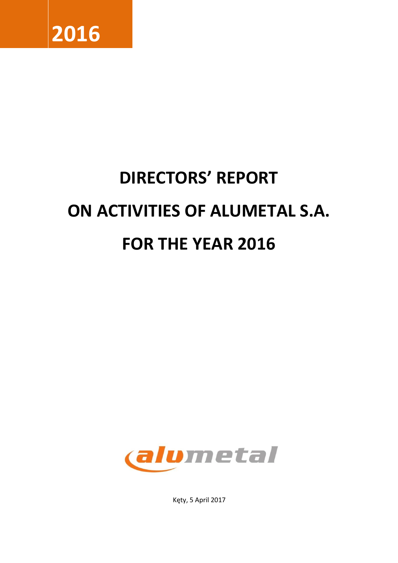

# **DIRECTORS' REPORT ON ACTIVITIES OF ALUMETAL S.A. FOR THE YEAR 2016**



Kęty, 5 April 2017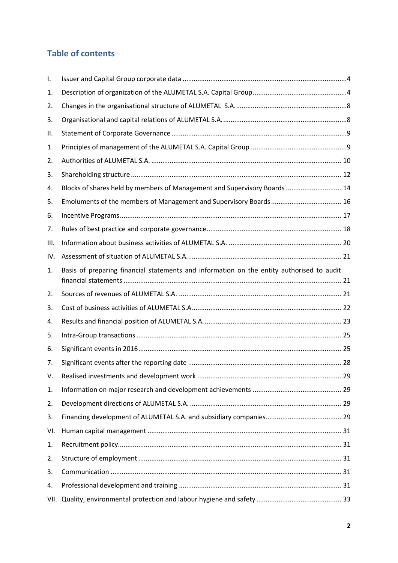# **Table of contents**

| Ι.  |                                                                                           |  |
|-----|-------------------------------------------------------------------------------------------|--|
| 1.  |                                                                                           |  |
| 2.  |                                                                                           |  |
| 3.  |                                                                                           |  |
| ΙΙ. |                                                                                           |  |
| 1.  |                                                                                           |  |
| 2.  |                                                                                           |  |
| 3.  |                                                                                           |  |
| 4.  | Blocks of shares held by members of Management and Supervisory Boards  14                 |  |
| 5.  |                                                                                           |  |
| 6.  |                                                                                           |  |
| 7.  |                                                                                           |  |
| Ш.  |                                                                                           |  |
| IV. |                                                                                           |  |
| 1.  | Basis of preparing financial statements and information on the entity authorised to audit |  |
| 2.  |                                                                                           |  |
| 3.  |                                                                                           |  |
| 4.  |                                                                                           |  |
| 5.  |                                                                                           |  |
| 6.  |                                                                                           |  |
| 7.  |                                                                                           |  |
| V.  |                                                                                           |  |
| 1.  |                                                                                           |  |
| 2.  |                                                                                           |  |
| 3.  |                                                                                           |  |
| VI. |                                                                                           |  |
| 1.  |                                                                                           |  |
| 2.  |                                                                                           |  |
| 3.  |                                                                                           |  |
| 4.  |                                                                                           |  |
|     |                                                                                           |  |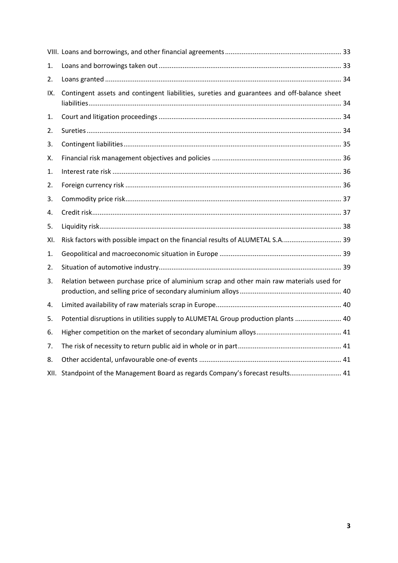| 1.   |                                                                                             |  |
|------|---------------------------------------------------------------------------------------------|--|
| 2.   |                                                                                             |  |
| IX.  | Contingent assets and contingent liabilities, sureties and guarantees and off-balance sheet |  |
| 1.   |                                                                                             |  |
| 2.   |                                                                                             |  |
| 3.   |                                                                                             |  |
| Х.   |                                                                                             |  |
| 1.   |                                                                                             |  |
| 2.   |                                                                                             |  |
| 3.   |                                                                                             |  |
| 4.   |                                                                                             |  |
| 5.   |                                                                                             |  |
| XI.  | Risk factors with possible impact on the financial results of ALUMETAL S.A 39               |  |
| 1.   |                                                                                             |  |
| 2.   |                                                                                             |  |
| 3.   | Relation between purchase price of aluminium scrap and other main raw materials used for    |  |
| 4.   |                                                                                             |  |
| 5.   | Potential disruptions in utilities supply to ALUMETAL Group production plants  40           |  |
| 6.   |                                                                                             |  |
| 7.   |                                                                                             |  |
| 8.   |                                                                                             |  |
| XII. | Standpoint of the Management Board as regards Company's forecast results 41                 |  |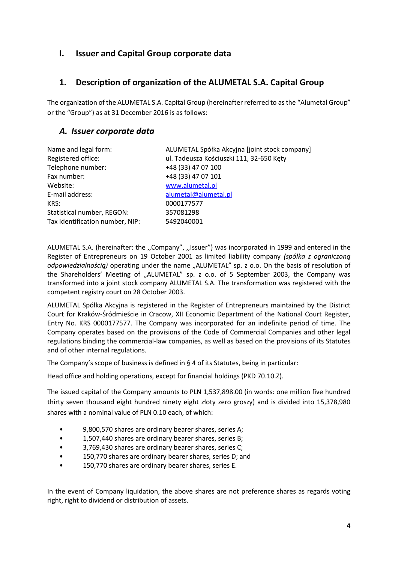#### <span id="page-3-0"></span>**I. Issuer and Capital Group corporate data**

#### <span id="page-3-1"></span>**1. Description of organization of the ALUMETAL S.A. Capital Group**

The organization of the ALUMETAL S.A. Capital Group (hereinafter referred to as the "Alumetal Group" or the "Group") as at 31 December 2016 is as follows:

#### *A. Issuer corporate data*

| Name and legal form:            | ALUMETAL Spółka Akcyjna [joint stock company] |
|---------------------------------|-----------------------------------------------|
| Registered office:              | ul. Tadeusza Kościuszki 111, 32-650 Kęty      |
| Telephone number:               | +48 (33) 47 07 100                            |
| Fax number:                     | +48 (33) 47 07 101                            |
| Website:                        | www.alumetal.pl                               |
| E-mail address:                 | alumetal@alumetal.pl                          |
| KRS:                            | 0000177577                                    |
| Statistical number, REGON:      | 357081298                                     |
| Tax identification number, NIP: | 5492040001                                    |

ALUMETAL S.A. (hereinafter: the ,,Company", ,,Issuer") was incorporated in 1999 and entered in the Register of Entrepreneurs on 19 October 2001 as limited liability company *(spółka z ograniczoną odpowiedzialnością)* operating under the name "ALUMETAL" sp. z o.o. On the basis of resolution of the Shareholders' Meeting of "ALUMETAL" sp. z o.o. of 5 September 2003, the Company was transformed into a joint stock company ALUMETAL S.A. The transformation was registered with the competent registry court on 28 October 2003.

ALUMETAL Spółka Akcyjna is registered in the Register of Entrepreneurs maintained by the District Court for Kraków-Śródmieście in Cracow, XII Economic Department of the National Court Register, Entry No. KRS 0000177577. The Company was incorporated for an indefinite period of time. The Company operates based on the provisions of the Code of Commercial Companies and other legal regulations binding the commercial-law companies, as well as based on the provisions of its Statutes and of other internal regulations.

The Company's scope of business is defined in  $\S$  4 of its Statutes, being in particular:

Head office and holding operations, except for financial holdings (PKD 70.10.Z).

The issued capital of the Company amounts to PLN 1,537,898.00 (in words: one million five hundred thirty seven thousand eight hundred ninety eight złoty zero groszy) and is divided into 15,378,980 shares with a nominal value of PLN 0.10 each, of which:

- 9,800,570 shares are ordinary bearer shares, series A;
- 1,507,440 shares are ordinary bearer shares, series B;
- 3,769,430 shares are ordinary bearer shares, series C;
- 150,770 shares are ordinary bearer shares, series D; and
- 150,770 shares are ordinary bearer shares, series E.

In the event of Company liquidation, the above shares are not preference shares as regards voting right, right to dividend or distribution of assets.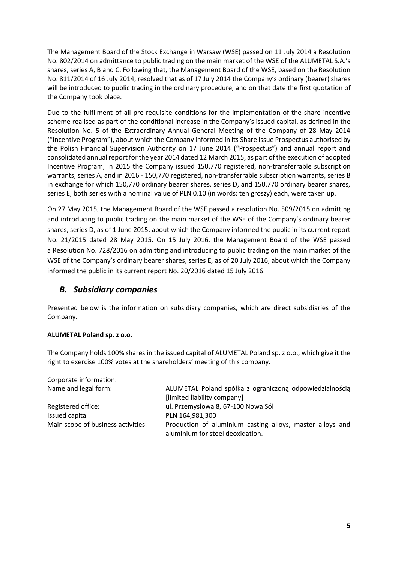The Management Board of the Stock Exchange in Warsaw (WSE) passed on 11 July 2014 a Resolution No. 802/2014 on admittance to public trading on the main market of the WSE of the ALUMETAL S.A.'s shares, series A, B and C. Following that, the Management Board of the WSE, based on the Resolution No. 811/2014 of 16 July 2014, resolved that as of 17 July 2014 the Company's ordinary (bearer) shares will be introduced to public trading in the ordinary procedure, and on that date the first quotation of the Company took place.

Due to the fulfilment of all pre-requisite conditions for the implementation of the share incentive scheme realised as part of the conditional increase in the Company's issued capital, as defined in the Resolution No. 5 of the Extraordinary Annual General Meeting of the Company of 28 May 2014 ("Incentive Program"), about which the Company informed in its Share Issue Prospectus authorised by the Polish Financial Supervision Authority on 17 June 2014 ("Prospectus") and annual report and consolidated annual report for the year 2014 dated 12 March 2015, as part of the execution of adopted Incentive Program, in 2015 the Company issued 150,770 registered, non-transferrable subscription warrants, series A, and in 2016 - 150,770 registered, non-transferrable subscription warrants, series B in exchange for which 150,770 ordinary bearer shares, series D, and 150,770 ordinary bearer shares, series E, both series with a nominal value of PLN 0.10 (in words: ten groszy) each, were taken up.

On 27 May 2015, the Management Board of the WSE passed a resolution No. 509/2015 on admitting and introducing to public trading on the main market of the WSE of the Company's ordinary bearer shares, series D, as of 1 June 2015, about which the Company informed the public in its current report No. 21/2015 dated 28 May 2015. On 15 July 2016, the Management Board of the WSE passed a Resolution No. 728/2016 on admitting and introducing to public trading on the main market of the WSE of the Company's ordinary bearer shares, series E, as of 20 July 2016, about which the Company informed the public in its current report No. 20/2016 dated 15 July 2016.

#### *B. Subsidiary companies*

Presented below is the information on subsidiary companies, which are direct subsidiaries of the Company.

#### **ALUMETAL Poland sp. z o.o.**

The Company holds 100% shares in the issued capital of ALUMETAL Poland sp. z o.o., which give it the right to exercise 100% votes at the shareholders' meeting of this company.

| Corporate information:             |                                                                                               |
|------------------------------------|-----------------------------------------------------------------------------------------------|
| Name and legal form:               | ALUMETAL Poland spółka z ograniczoną odpowiedzialnością                                       |
|                                    | [limited liability company]                                                                   |
| Registered office:                 | ul. Przemysłowa 8, 67-100 Nowa Sól                                                            |
| Issued capital:                    | PLN 164,981,300                                                                               |
| Main scope of business activities: | Production of aluminium casting alloys, master alloys and<br>aluminium for steel deoxidation. |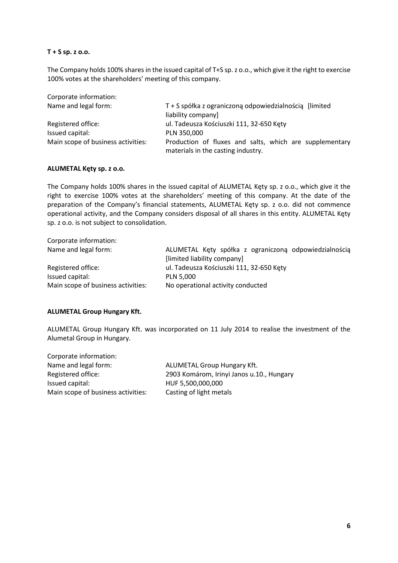#### **T + S sp. z o.o.**

The Company holds 100% shares in the issued capital of T+S sp. z o.o., which give it the right to exercise 100% votes at the shareholders' meeting of this company.

| Corporate information:             |                                                                                               |  |  |  |
|------------------------------------|-----------------------------------------------------------------------------------------------|--|--|--|
| Name and legal form:               | T + S spółka z ograniczoną odpowiedzialnością [limited]                                       |  |  |  |
|                                    | liability company]                                                                            |  |  |  |
| Registered office:                 | ul. Tadeusza Kościuszki 111, 32-650 Kęty                                                      |  |  |  |
| Issued capital:                    | PLN 350,000                                                                                   |  |  |  |
| Main scope of business activities: | Production of fluxes and salts, which are supplementary<br>materials in the casting industry. |  |  |  |

#### **ALUMETAL Kęty sp. z o.o.**

The Company holds 100% shares in the issued capital of ALUMETAL Kęty sp. z o.o., which give it the right to exercise 100% votes at the shareholders' meeting of this company. At the date of the preparation of the Company's financial statements, ALUMETAL Kęty sp. z o.o. did not commence operational activity, and the Company considers disposal of all shares in this entity. ALUMETAL Kęty sp. z o.o. is not subject to consolidation.

| ALUMETAL Kęty spółka z ograniczoną odpowiedzialnością |
|-------------------------------------------------------|
|                                                       |
|                                                       |
|                                                       |
|                                                       |
|                                                       |

#### **ALUMETAL Group Hungary Kft.**

ALUMETAL Group Hungary Kft. was incorporated on 11 July 2014 to realise the investment of the Alumetal Group in Hungary.

| Corporate information:             |                                           |
|------------------------------------|-------------------------------------------|
| Name and legal form:               | <b>ALUMETAL Group Hungary Kft.</b>        |
| Registered office:                 | 2903 Komárom, Irinyi Janos u.10., Hungary |
| Issued capital:                    | HUF 5,500,000,000                         |
| Main scope of business activities: | Casting of light metals                   |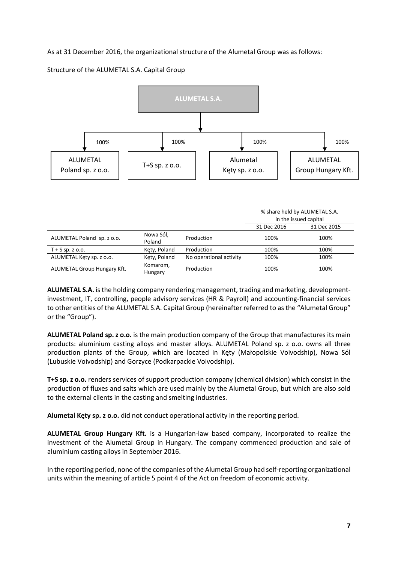#### As at 31 December 2016, the organizational structure of the Alumetal Group was as follows:

Structure of the ALUMETAL S.A. Capital Group



|                             |                     |                         | % share held by ALUMETAL S.A.<br>in the issued capital |             |
|-----------------------------|---------------------|-------------------------|--------------------------------------------------------|-------------|
|                             |                     |                         | 31 Dec 2016                                            | 31 Dec 2015 |
| ALUMETAL Poland sp. z o.o.  | Nowa Sól,<br>Poland | Production              | 100%                                                   | 100%        |
| $T + S$ sp. z o.o.          | Kety, Poland        | Production              | 100%                                                   | 100%        |
| ALUMETAL Kęty sp. z o.o.    | Kety, Poland        | No operational activity | 100%                                                   | 100%        |
| ALUMETAL Group Hungary Kft. | Komarom,<br>Hungary | Production              | 100%                                                   | 100%        |

**ALUMETAL S.A.** is the holding company rendering management, trading and marketing, developmentinvestment, IT, controlling, people advisory services (HR & Payroll) and accounting-financial services to other entities of the ALUMETAL S.A. Capital Group (hereinafter referred to as the "Alumetal Group" or the "Group").

**ALUMETAL Poland sp. z o.o.** is the main production company of the Group that manufactures its main products: aluminium casting alloys and master alloys. ALUMETAL Poland sp. z o.o. owns all three production plants of the Group, which are located in Kęty (Małopolskie Voivodship), Nowa Sól (Lubuskie Voivodship) and Gorzyce (Podkarpackie Voivodship).

**T+S sp. z o.o.** renders services of support production company (chemical division) which consist in the production of fluxes and salts which are used mainly by the Alumetal Group, but which are also sold to the external clients in the casting and smelting industries.

**Alumetal Kęty sp. z o.o.** did not conduct operational activity in the reporting period.

**ALUMETAL Group Hungary Kft.** is a Hungarian-law based company, incorporated to realize the investment of the Alumetal Group in Hungary. The company commenced production and sale of aluminium casting alloys in September 2016.

In the reporting period, none of the companies of the Alumetal Group had self-reporting organizational units within the meaning of article 5 point 4 of the Act on freedom of economic activity.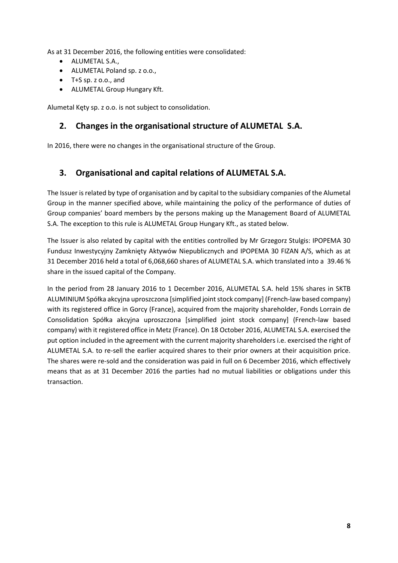As at 31 December 2016, the following entities were consolidated:

- ALUMETAL S.A.,
- ALUMETAL Poland sp. z o.o.,
- T+S sp. z o.o., and
- ALUMETAL Group Hungary Kft.

<span id="page-7-0"></span>Alumetal Kęty sp. z o.o. is not subject to consolidation.

#### **2. Changes in the organisational structure of ALUMETAL S.A.**

In 2016, there were no changes in the organisational structure of the Group.

#### <span id="page-7-1"></span>**3. Organisational and capital relations of ALUMETAL S.A.**

The Issuer is related by type of organisation and by capital to the subsidiary companies of the Alumetal Group in the manner specified above, while maintaining the policy of the performance of duties of Group companies' board members by the persons making up the Management Board of ALUMETAL S.A. The exception to this rule is ALUMETAL Group Hungary Kft., as stated below.

The Issuer is also related by capital with the entities controlled by Mr Grzegorz Stulgis: IPOPEMA 30 Fundusz Inwestycyjny Zamknięty Aktywów Niepublicznych and IPOPEMA 30 FIZAN A/S, which as at 31 December 2016 held a total of 6,068,660 shares of ALUMETAL S.A. which translated into a 39.46 % share in the issued capital of the Company.

In the period from 28 January 2016 to 1 December 2016, ALUMETAL S.A. held 15% shares in SKTB ALUMINIUM Spółka akcyjna uproszczona [simplified joint stock company] (French-law based company) with its registered office in Gorcy (France), acquired from the majority shareholder, Fonds Lorrain de Consolidation Spółka akcyjna uproszczona [simplified joint stock company] (French-law based company) with it registered office in Metz (France). On 18 October 2016, ALUMETAL S.A. exercised the put option included in the agreement with the current majority shareholders i.e. exercised the right of ALUMETAL S.A. to re-sell the earlier acquired shares to their prior owners at their acquisition price. The shares were re-sold and the consideration was paid in full on 6 December 2016, which effectively means that as at 31 December 2016 the parties had no mutual liabilities or obligations under this transaction.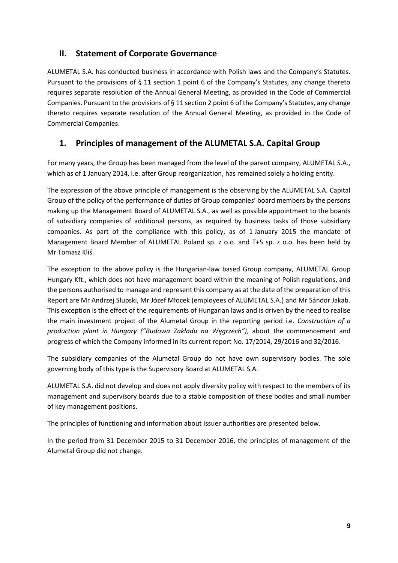#### <span id="page-8-0"></span>**II. Statement of Corporate Governance**

ALUMETAL S.A. has conducted business in accordance with Polish laws and the Company's Statutes. Pursuant to the provisions of § 11 section 1 point 6 of the Company's Statutes, any change thereto requires separate resolution of the Annual General Meeting, as provided in the Code of Commercial Companies. Pursuant to the provisions of § 11 section 2 point 6 of the Company's Statutes, any change thereto requires separate resolution of the Annual General Meeting, as provided in the Code of Commercial Companies.

#### <span id="page-8-1"></span>**1. Principles of management of the ALUMETAL S.A. Capital Group**

For many years, the Group has been managed from the level of the parent company, ALUMETAL S.A., which as of 1 January 2014, i.e. after Group reorganization, has remained solely a holding entity.

The expression of the above principle of management is the observing by the ALUMETAL S.A. Capital Group of the policy of the performance of duties of Group companies' board members by the persons making up the Management Board of ALUMETAL S.A., as well as possible appointment to the boards of subsidiary companies of additional persons, as required by business tasks of those subsidiary companies. As part of the compliance with this policy, as of 1 January 2015 the mandate of Management Board Member of ALUMETAL Poland sp. z o.o. and T+S sp. z o.o. has been held by Mr Tomasz Kliś.

The exception to the above policy is the Hungarian-law based Group company, ALUMETAL Group Hungary Kft., which does not have management board within the meaning of Polish regulations, and the persons authorised to manage and represent this company as at the date of the preparation of this Report are Mr Andrzej Słupski, Mr Józef Młocek (employees of ALUMETAL S.A.) and Mr Sándor Jakab. This exception is the effect of the requirements of Hungarian laws and is driven by the need to realise the main investment project of the Alumetal Group in the reporting period i.e. *Construction of a production plant in Hungary ("Budowa Zakładu na Węgrzech")*, about the commencement and progress of which the Company informed in its current report No. 17/2014, 29/2016 and 32/2016.

The subsidiary companies of the Alumetal Group do not have own supervisory bodies. The sole governing body of this type is the Supervisory Board at ALUMETAL S.A.

ALUMETAL S.A. did not develop and does not apply diversity policy with respect to the members of its management and supervisory boards due to a stable composition of these bodies and small number of key management positions.

The principles of functioning and information about Issuer authorities are presented below.

In the period from 31 December 2015 to 31 December 2016, the principles of management of the Alumetal Group did not change.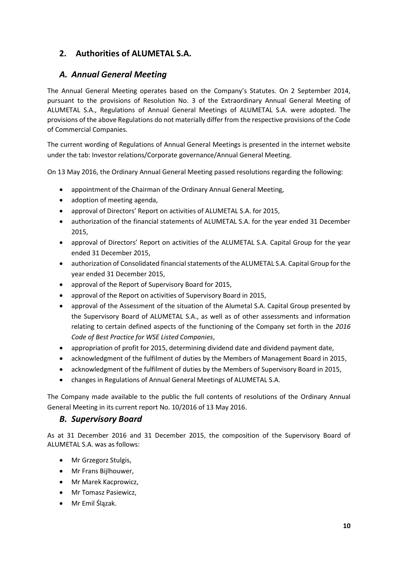## <span id="page-9-0"></span>**2. Authorities of ALUMETAL S.A.**

#### *A. Annual General Meeting*

The Annual General Meeting operates based on the Company's Statutes. On 2 September 2014, pursuant to the provisions of Resolution No. 3 of the Extraordinary Annual General Meeting of ALUMETAL S.A., Regulations of Annual General Meetings of ALUMETAL S.A. were adopted. The provisions of the above Regulations do not materially differ from the respective provisions of the Code of Commercial Companies.

The current wording of Regulations of Annual General Meetings is presented in the internet website under the tab: Investor relations/Corporate governance/Annual General Meeting.

On 13 May 2016, the Ordinary Annual General Meeting passed resolutions regarding the following:

- appointment of the Chairman of the Ordinary Annual General Meeting,
- adoption of meeting agenda,
- approval of Directors' Report on activities of ALUMETAL S.A. for 2015,
- authorization of the financial statements of ALUMETAL S.A. for the year ended 31 December 2015,
- approval of Directors' Report on activities of the ALUMETAL S.A. Capital Group for the year ended 31 December 2015,
- authorization of Consolidated financial statements of the ALUMETAL S.A. Capital Group for the year ended 31 December 2015,
- approval of the Report of Supervisory Board for 2015,
- approval of the Report on activities of Supervisory Board in 2015,
- approval of the Assessment of the situation of the Alumetal S.A. Capital Group presented by the Supervisory Board of ALUMETAL S.A., as well as of other assessments and information relating to certain defined aspects of the functioning of the Company set forth in the *2016 Code of Best Practice for WSE Listed Companies*,
- appropriation of profit for 2015, determining dividend date and dividend payment date,
- acknowledgment of the fulfilment of duties by the Members of Management Board in 2015,
- acknowledgment of the fulfilment of duties by the Members of Supervisory Board in 2015,
- changes in Regulations of Annual General Meetings of ALUMETAL S.A.

The Company made available to the public the full contents of resolutions of the Ordinary Annual General Meeting in its current report No. 10/2016 of 13 May 2016.

#### *B. Supervisory Board*

As at 31 December 2016 and 31 December 2015, the composition of the Supervisory Board of ALUMETAL S.A. was as follows:

- Mr Grzegorz Stulgis,
- Mr Frans Bijlhouwer,
- Mr Marek Kacprowicz,
- Mr Tomasz Pasiewicz,
- Mr Emil Ślązak.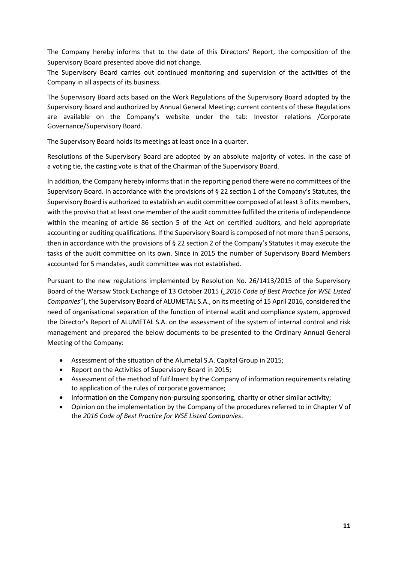The Company hereby informs that to the date of this Directors' Report, the composition of the Supervisory Board presented above did not change.

The Supervisory Board carries out continued monitoring and supervision of the activities of the Company in all aspects of its business.

The Supervisory Board acts based on the Work Regulations of the Supervisory Board adopted by the Supervisory Board and authorized by Annual General Meeting; current contents of these Regulations are available on the Company's website under the tab: Investor relations /Corporate Governance/Supervisory Board.

The Supervisory Board holds its meetings at least once in a quarter.

Resolutions of the Supervisory Board are adopted by an absolute majority of votes. In the case of a voting tie, the casting vote is that of the Chairman of the Supervisory Board.

In addition, the Company hereby informs that in the reporting period there were no committees of the Supervisory Board. In accordance with the provisions of § 22 section 1 of the Company's Statutes, the Supervisory Board is authorized to establish an audit committee composed of at least 3 of its members, with the proviso that at least one member of the audit committee fulfilled the criteria of independence within the meaning of article 86 section 5 of the Act on certified auditors, and held appropriate accounting or auditing qualifications. If the Supervisory Board is composed of not more than 5 persons, then in accordance with the provisions of § 22 section 2 of the Company's Statutes it may execute the tasks of the audit committee on its own. Since in 2015 the number of Supervisory Board Members accounted for 5 mandates, audit committee was not established.

Pursuant to the new regulations implemented by Resolution No. 26/1413/2015 of the Supervisory Board of the Warsaw Stock Exchange of 13 October 2015 ("2016 Code of Best Practice for WSE Listed *Companies*"), the Supervisory Board of ALUMETAL S.A., on its meeting of 15 April 2016, considered the need of organisational separation of the function of internal audit and compliance system, approved the Director's Report of ALUMETAL S.A. on the assessment of the system of internal control and risk management and prepared the below documents to be presented to the Ordinary Annual General Meeting of the Company:

- Assessment of the situation of the Alumetal S.A. Capital Group in 2015;
- Report on the Activities of Supervisory Board in 2015;
- Assessment of the method of fulfilment by the Company of information requirements relating to application of the rules of corporate governance;
- Information on the Company non-pursuing sponsoring, charity or other similar activity;
- Opinion on the implementation by the Company of the procedures referred to in Chapter V of the *2016 Code of Best Practice for WSE Listed Companies*.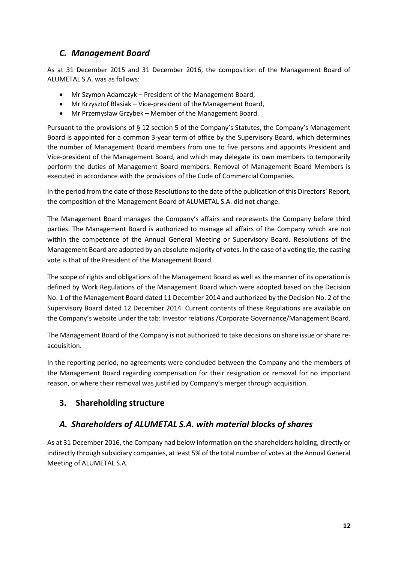#### *C. Management Board*

As at 31 December 2015 and 31 December 2016, the composition of the Management Board of ALUMETAL S.A. was as follows:

- Mr Szymon Adamczyk President of the Management Board,
- Mr Krzysztof Błasiak Vice-president of the Management Board,
- Mr Przemysław Grzybek Member of the Management Board.

Pursuant to the provisions of § 12 section 5 of the Company's Statutes, the Company's Management Board is appointed for a common 3-year term of office by the Supervisory Board, which determines the number of Management Board members from one to five persons and appoints President and Vice-president of the Management Board, and which may delegate its own members to temporarily perform the duties of Management Board members. Removal of Management Board Members is executed in accordance with the provisions of the Code of Commercial Companies.

In the period from the date of those Resolutions to the date of the publication of this Directors' Report, the composition of the Management Board of ALUMETAL S.A. did not change.

The Management Board manages the Company's affairs and represents the Company before third parties. The Management Board is authorized to manage all affairs of the Company which are not within the competence of the Annual General Meeting or Supervisory Board. Resolutions of the Management Board are adopted by an absolute majority of votes. In the case of a voting tie, the casting vote is that of the President of the Management Board.

The scope of rights and obligations of the Management Board as well as the manner of its operation is defined by Work Regulations of the Management Board which were adopted based on the Decision No. 1 of the Management Board dated 11 December 2014 and authorized by the Decision No. 2 of the Supervisory Board dated 12 December 2014. Current contents of these Regulations are available on the Company's website under the tab: Investor relations /Corporate Governance/Management Board.

The Management Board of the Company is not authorized to take decisions on share issue or share reacquisition.

In the reporting period, no agreements were concluded between the Company and the members of the Management Board regarding compensation for their resignation or removal for no important reason, or where their removal was justified by Company's merger through acquisition.

#### <span id="page-11-0"></span>**3. Shareholding structure**

#### *A. Shareholders of ALUMETAL S.A. with material blocks of shares*

As at 31 December 2016, the Company had below information on the shareholders holding, directly or indirectly through subsidiary companies, at least 5% of the total number of votes at the Annual General Meeting of ALUMETAL S.A.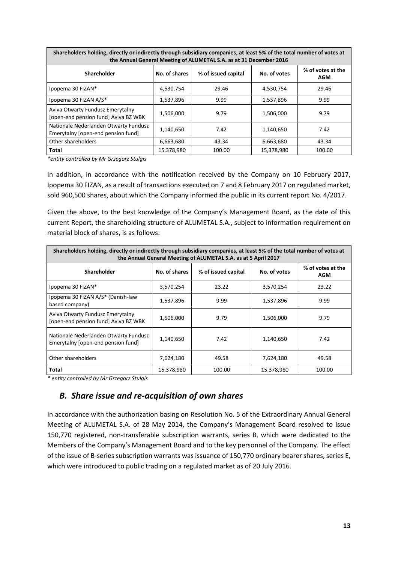| Shareholders holding, directly or indirectly through subsidiary companies, at least 5% of the total number of votes at<br>the Annual General Meeting of ALUMETAL S.A. as at 31 December 2016 |               |                     |              |                                 |  |  |
|----------------------------------------------------------------------------------------------------------------------------------------------------------------------------------------------|---------------|---------------------|--------------|---------------------------------|--|--|
| Shareholder                                                                                                                                                                                  | No. of shares | % of issued capital | No. of votes | % of votes at the<br><b>AGM</b> |  |  |
| Ipopema 30 FIZAN*                                                                                                                                                                            | 4,530,754     | 29.46               | 4,530,754    | 29.46                           |  |  |
| Ipopema 30 FIZAN A/S*                                                                                                                                                                        | 1,537,896     | 9.99                | 1,537,896    | 9.99                            |  |  |
| Aviva Otwarty Fundusz Emerytalny<br>[open-end pension fund] Aviva BZ WBK                                                                                                                     | 1,506,000     | 9.79                | 1,506,000    | 9.79                            |  |  |
| Nationale Nederlanden Otwarty Fundusz<br>Emerytalny [open-end pension fund]                                                                                                                  | 1,140,650     | 7.42                | 1,140,650    | 7.42                            |  |  |
| Other shareholders                                                                                                                                                                           | 6,663,680     | 43.34               | 6,663,680    | 43.34                           |  |  |
| Total                                                                                                                                                                                        | 15.378.980    | 100.00              | 15.378.980   | 100.00                          |  |  |

*\*entity controlled by Mr Grzegorz Stulgis*

In addition, in accordance with the notification received by the Company on 10 February 2017, Ipopema 30 FIZAN, as a result of transactions executed on 7 and 8 February 2017 on regulated market, sold 960,500 shares, about which the Company informed the public in its current report No. 4/2017.

Given the above, to the best knowledge of the Company's Management Board, as the date of this current Report, the shareholding structure of ALUMETAL S.A., subject to information requirement on material block of shares, is as follows:

| Shareholders holding, directly or indirectly through subsidiary companies, at least 5% of the total number of votes at<br>the Annual General Meeting of ALUMETAL S.A. as at 5 April 2017 |               |                     |              |                                 |  |  |
|------------------------------------------------------------------------------------------------------------------------------------------------------------------------------------------|---------------|---------------------|--------------|---------------------------------|--|--|
| <b>Shareholder</b>                                                                                                                                                                       | No. of shares | % of issued capital | No. of votes | % of votes at the<br><b>AGM</b> |  |  |
| Ipopema 30 FIZAN*                                                                                                                                                                        | 3,570,254     | 23.22               | 3,570,254    | 23.22                           |  |  |
| Ipopema 30 FIZAN A/S* (Danish-law<br>based company)                                                                                                                                      | 1,537,896     | 9.99                | 1,537,896    | 9.99                            |  |  |
| Aviva Otwarty Fundusz Emerytalny<br>[open-end pension fund] Aviva BZ WBK                                                                                                                 | 1,506,000     | 9.79                | 1,506,000    | 9.79                            |  |  |
| Nationale Nederlanden Otwarty Fundusz<br>Emerytalny [open-end pension fund]                                                                                                              | 1,140,650     | 7.42                | 1,140,650    | 7.42                            |  |  |
| Other shareholders                                                                                                                                                                       | 7,624,180     | 49.58               | 7,624,180    | 49.58                           |  |  |
| Total                                                                                                                                                                                    | 15,378,980    | 100.00              | 15,378,980   | 100.00                          |  |  |

*\* entity controlled by Mr Grzegorz Stulgis*

#### *B. Share issue and re-acquisition of own shares*

In accordance with the authorization basing on Resolution No. 5 of the Extraordinary Annual General Meeting of ALUMETAL S.A. of 28 May 2014, the Company's Management Board resolved to issue 150,770 registered, non-transferable subscription warrants, series B, which were dedicated to the Members of the Company's Management Board and to the key personnel of the Company. The effect of the issue of B-series subscription warrants was issuance of 150,770 ordinary bearer shares, series E, which were introduced to public trading on a regulated market as of 20 July 2016.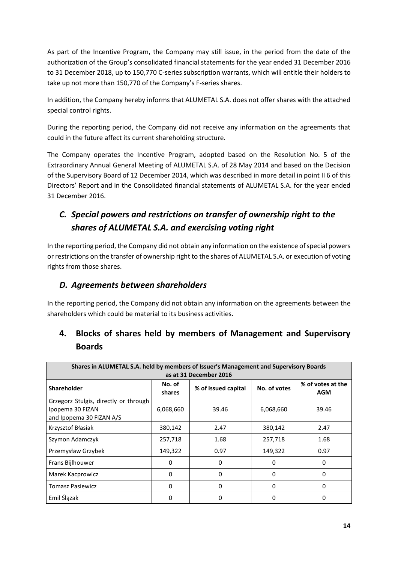As part of the Incentive Program, the Company may still issue, in the period from the date of the authorization of the Group's consolidated financial statements for the year ended 31 December 2016 to 31 December 2018, up to 150,770 C-series subscription warrants, which will entitle their holders to take up not more than 150,770 of the Company's F-series shares.

In addition, the Company hereby informs that ALUMETAL S.A. does not offer shares with the attached special control rights.

During the reporting period, the Company did not receive any information on the agreements that could in the future affect its current shareholding structure.

The Company operates the Incentive Program, adopted based on the Resolution No. 5 of the Extraordinary Annual General Meeting of ALUMETAL S.A. of 28 May 2014 and based on the Decision of the Supervisory Board of 12 December 2014, which was described in more detail in point II 6 of this Directors' Report and in the Consolidated financial statements of ALUMETAL S.A. for the year ended 31 December 2016.

# *C. Special powers and restrictions on transfer of ownership right to the shares of ALUMETAL S.A. and exercising voting right*

In the reporting period, the Company did not obtain any information on the existence of special powers or restrictions on the transfer of ownership right to the shares of ALUMETAL S.A. or execution of voting rights from those shares.

#### *D. Agreements between shareholders*

In the reporting period, the Company did not obtain any information on the agreements between the shareholders which could be material to its business activities.

| DUGI UJ                                                                                                         |                  |                     |              |                                 |  |  |
|-----------------------------------------------------------------------------------------------------------------|------------------|---------------------|--------------|---------------------------------|--|--|
| Shares in ALUMETAL S.A. held by members of Issuer's Management and Supervisory Boards<br>as at 31 December 2016 |                  |                     |              |                                 |  |  |
| <b>Shareholder</b>                                                                                              | No. of<br>shares | % of issued capital | No. of votes | % of votes at the<br><b>AGM</b> |  |  |
| Grzegorz Stulgis, directly or through<br>Ipopema 30 FIZAN<br>and Ipopema 30 FIZAN A/S                           | 6,068,660        | 39.46               | 6,068,660    | 39.46                           |  |  |
| Krzysztof Błasiak                                                                                               | 380,142          | 2.47                | 380,142      | 2.47                            |  |  |
| Szymon Adamczyk                                                                                                 | 257,718          | 1.68                | 257,718      | 1.68                            |  |  |
| Przemysław Grzybek                                                                                              | 149,322          | 0.97                | 149,322      | 0.97                            |  |  |
| Frans Bijlhouwer                                                                                                | 0                | 0                   | 0            | 0                               |  |  |
| Marek Kacprowicz                                                                                                | $\Omega$         | 0                   | $\Omega$     | 0                               |  |  |
| <b>Tomasz Pasiewicz</b>                                                                                         | $\Omega$         | $\Omega$            | $\Omega$     | 0                               |  |  |
| Emil Ślązak                                                                                                     | $\mathbf 0$      | 0                   | 0            | 0                               |  |  |

# <span id="page-13-0"></span>**4. Blocks of shares held by members of Management and Supervisory Boards**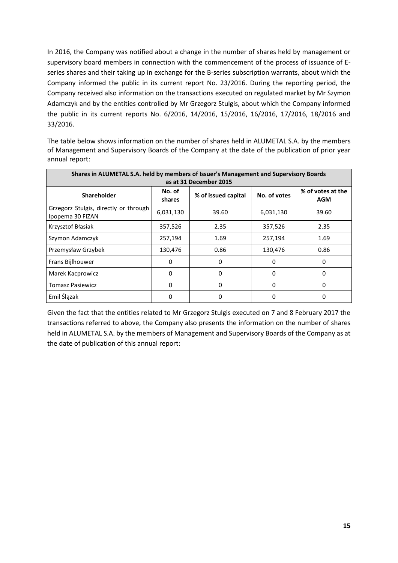In 2016, the Company was notified about a change in the number of shares held by management or supervisory board members in connection with the commencement of the process of issuance of Eseries shares and their taking up in exchange for the B-series subscription warrants, about which the Company informed the public in its current report No. 23/2016. During the reporting period, the Company received also information on the transactions executed on regulated market by Mr Szymon Adamczyk and by the entities controlled by Mr Grzegorz Stulgis, about which the Company informed the public in its current reports No. 6/2016, 14/2016, 15/2016, 16/2016, 17/2016, 18/2016 and 33/2016.

The table below shows information on the number of shares held in ALUMETAL S.A. by the members of Management and Supervisory Boards of the Company at the date of the publication of prior year annual report:

| Shares in ALUMETAL S.A. held by members of Issuer's Management and Supervisory Boards |                  |                        |              |                                 |  |
|---------------------------------------------------------------------------------------|------------------|------------------------|--------------|---------------------------------|--|
|                                                                                       |                  | as at 31 December 2015 |              |                                 |  |
| <b>Shareholder</b>                                                                    | No. of<br>shares | % of issued capital    | No. of votes | % of votes at the<br><b>AGM</b> |  |
| Grzegorz Stulgis, directly or through<br>Ipopema 30 FIZAN                             | 6,031,130        | 39.60                  | 6,031,130    | 39.60                           |  |
| Krzysztof Błasiak                                                                     | 357,526          | 2.35                   | 357,526      | 2.35                            |  |
| Szymon Adamczyk                                                                       | 257,194          | 1.69                   | 257,194      | 1.69                            |  |
| Przemysław Grzybek                                                                    | 130,476          | 0.86                   | 130,476      | 0.86                            |  |
| Frans Bijlhouwer                                                                      | 0                | 0                      | $\Omega$     | 0                               |  |
| Marek Kacprowicz                                                                      | 0                | 0                      | $\Omega$     | 0                               |  |
| <b>Tomasz Pasiewicz</b>                                                               | 0                | 0                      | $\Omega$     | 0                               |  |
| Emil Ślązak                                                                           | 0                | 0                      | 0            | 0                               |  |

Given the fact that the entities related to Mr Grzegorz Stulgis executed on 7 and 8 February 2017 the transactions referred to above, the Company also presents the information on the number of shares held in ALUMETAL S.A. by the members of Management and Supervisory Boards of the Company as at the date of publication of this annual report: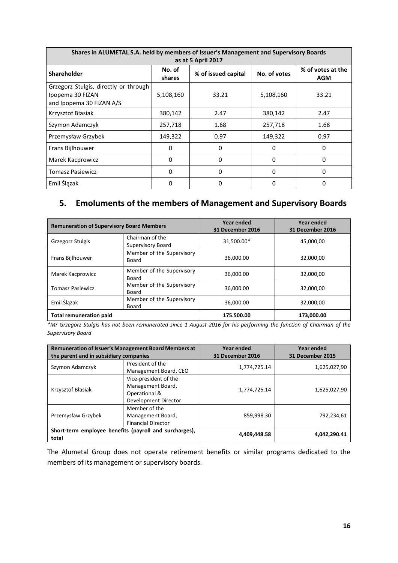| Shares in ALUMETAL S.A. held by members of Issuer's Management and Supervisory Boards<br>as at 5 April 2017 |                  |                     |              |                                 |  |
|-------------------------------------------------------------------------------------------------------------|------------------|---------------------|--------------|---------------------------------|--|
| <b>Shareholder</b>                                                                                          | No. of<br>shares | % of issued capital | No. of votes | % of votes at the<br><b>AGM</b> |  |
| Grzegorz Stulgis, directly or through<br>Ipopema 30 FIZAN<br>and Ipopema 30 FIZAN A/S                       | 5,108,160        | 33.21               | 5,108,160    | 33.21                           |  |
| Krzysztof Błasiak                                                                                           | 380,142          | 2.47                | 380,142      | 2.47                            |  |
| Szymon Adamczyk                                                                                             | 257,718          | 1.68                | 257,718      | 1.68                            |  |
| Przemysław Grzybek                                                                                          | 149,322          | 0.97                | 149,322      | 0.97                            |  |
| Frans Bijlhouwer                                                                                            | 0                | 0                   | $\Omega$     | 0                               |  |
| Marek Kacprowicz                                                                                            | 0                | 0                   | $\Omega$     | 0                               |  |
| <b>Tomasz Pasiewicz</b>                                                                                     | $\Omega$         | 0                   | $\Omega$     | 0                               |  |
| Emil Ślązak                                                                                                 | 0                | 0                   | $\Omega$     | 0                               |  |

# <span id="page-15-0"></span>**5. Emoluments of the members of Management and Supervisory Boards**

| <b>Remuneration of Supervisory Board Members</b> |                                           | Year ended<br>31 December 2016 | Year ended<br>31 December 2016 |
|--------------------------------------------------|-------------------------------------------|--------------------------------|--------------------------------|
| Grzegorz Stulgis                                 | Chairman of the<br>Supervisory Board      | 31,500.00*                     | 45,000,00                      |
| Frans Bijlhouwer                                 | Member of the Supervisory<br><b>Board</b> | 36,000.00                      | 32,000,00                      |
| Marek Kacprowicz                                 | Member of the Supervisory<br><b>Board</b> | 36,000.00                      | 32,000,00                      |
| <b>Tomasz Pasiewicz</b>                          | Member of the Supervisory<br>Board        | 36,000.00                      | 32,000,00                      |
| Emil Ślązak                                      | Member of the Supervisory<br>Board        | 36,000.00                      | 32,000,00                      |
| <b>Total remuneration paid</b>                   |                                           | 175.500.00                     | 173,000.00                     |

*\*Mr Grzegorz Stulgis has not been remunerated since 1 August 2016 for his performing the function of Chairman of the Supervisory Board*

| <b>Remuneration of Issuer's Management Board Members at</b> |                                                                                     | Year ended       | Year ended       |  |
|-------------------------------------------------------------|-------------------------------------------------------------------------------------|------------------|------------------|--|
| the parent and in subsidiary companies                      |                                                                                     | 31 December 2016 | 31 December 2015 |  |
| Szymon Adamczyk                                             | President of the<br>Management Board, CEO                                           | 1,774,725.14     | 1,625,027,90     |  |
| Krzysztof Błasiak                                           | Vice-president of the<br>Management Board,<br>Operational &<br>Development Director | 1,774,725.14     | 1,625,027,90     |  |
| Przemysław Grzybek                                          | Member of the<br>Management Board,<br><b>Financial Director</b>                     | 859,998.30       | 792,234,61       |  |
| total                                                       | Short-term employee benefits (payroll and surcharges),                              | 4,409,448.58     | 4,042,290.41     |  |

The Alumetal Group does not operate retirement benefits or similar programs dedicated to the members of its management or supervisory boards.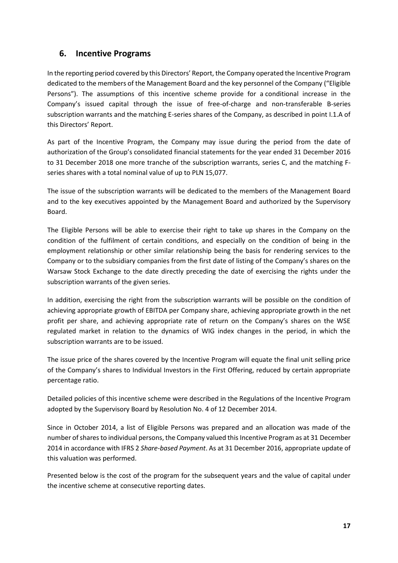#### <span id="page-16-0"></span>**6. Incentive Programs**

In the reporting period covered by this Directors' Report, the Company operated the Incentive Program dedicated to the members of the Management Board and the key personnel of the Company ("Eligible Persons"). The assumptions of this incentive scheme provide for a conditional increase in the Company's issued capital through the issue of free-of-charge and non-transferable B-series subscription warrants and the matching E-series shares of the Company, as described in point I.1.A of this Directors' Report.

As part of the Incentive Program, the Company may issue during the period from the date of authorization of the Group's consolidated financial statements for the year ended 31 December 2016 to 31 December 2018 one more tranche of the subscription warrants, series C, and the matching Fseries shares with a total nominal value of up to PLN 15,077.

The issue of the subscription warrants will be dedicated to the members of the Management Board and to the key executives appointed by the Management Board and authorized by the Supervisory Board.

The Eligible Persons will be able to exercise their right to take up shares in the Company on the condition of the fulfilment of certain conditions, and especially on the condition of being in the employment relationship or other similar relationship being the basis for rendering services to the Company or to the subsidiary companies from the first date of listing of the Company's shares on the Warsaw Stock Exchange to the date directly preceding the date of exercising the rights under the subscription warrants of the given series.

In addition, exercising the right from the subscription warrants will be possible on the condition of achieving appropriate growth of EBITDA per Company share, achieving appropriate growth in the net profit per share, and achieving appropriate rate of return on the Company's shares on the WSE regulated market in relation to the dynamics of WIG index changes in the period, in which the subscription warrants are to be issued.

The issue price of the shares covered by the Incentive Program will equate the final unit selling price of the Company's shares to Individual Investors in the First Offering, reduced by certain appropriate percentage ratio.

Detailed policies of this incentive scheme were described in the Regulations of the Incentive Program adopted by the Supervisory Board by Resolution No. 4 of 12 December 2014.

Since in October 2014, a list of Eligible Persons was prepared and an allocation was made of the number of shares to individual persons, the Company valued this Incentive Program as at 31 December 2014 in accordance with IFRS 2 *Share-based Payment*. As at 31 December 2016, appropriate update of this valuation was performed.

Presented below is the cost of the program for the subsequent years and the value of capital under the incentive scheme at consecutive reporting dates.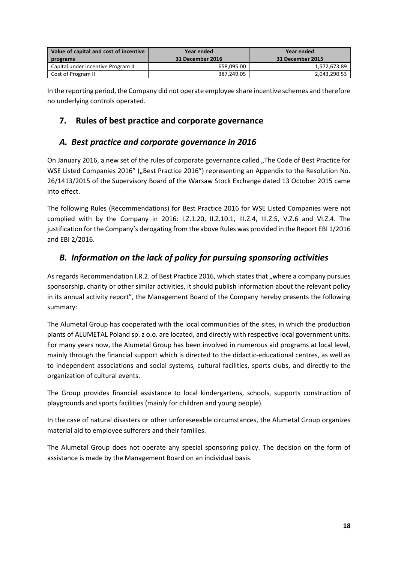| Value of capital and cost of incentive | Year ended       | Year ended       |
|----------------------------------------|------------------|------------------|
| programs                               | 31 December 2016 | 31 December 2015 |
| Capital under incentive Program II     | 658.095.00       | 1,572,673.89     |
| Cost of Program II                     | 387.249.05       | 2,043,290.53     |

In the reporting period, the Company did not operate employee share incentive schemes and therefore no underlying controls operated.

#### <span id="page-17-0"></span>**7. Rules of best practice and corporate governance**

#### *A. Best practice and corporate governance in 2016*

On January 2016, a new set of the rules of corporate governance called "The Code of Best Practice for WSE Listed Companies 2016" ("Best Practice 2016") representing an Appendix to the Resolution No. 26/1413/2015 of the Supervisory Board of the Warsaw Stock Exchange dated 13 October 2015 came into effect.

The following Rules (Recommendations) for Best Practice 2016 for WSE Listed Companies were not complied with by the Company in 2016: I.Z.1.20, II.Z.10.1, III.Z.4, III.Z.5, V.Z.6 and VI.Z.4. The justification for the Company's derogating from the above Rules was provided in the Report EBI 1/2016 and EBI 2/2016.

#### *B. Information on the lack of policy for pursuing sponsoring activities*

As regards Recommendation I.R.2. of Best Practice 2016, which states that "where a company pursues sponsorship, charity or other similar activities, it should publish information about the relevant policy in its annual activity report", the Management Board of the Company hereby presents the following summary:

The Alumetal Group has cooperated with the local communities of the sites, in which the production plants of ALUMETAL Poland sp. z o.o. are located, and directly with respective local government units. For many years now, the Alumetal Group has been involved in numerous aid programs at local level, mainly through the financial support which is directed to the didactic-educational centres, as well as to independent associations and social systems, cultural facilities, sports clubs, and directly to the organization of cultural events.

The Group provides financial assistance to local kindergartens, schools, supports construction of playgrounds and sports facilities (mainly for children and young people).

In the case of natural disasters or other unforeseeable circumstances, the Alumetal Group organizes material aid to employee sufferers and their families.

The Alumetal Group does not operate any special sponsoring policy. The decision on the form of assistance is made by the Management Board on an individual basis.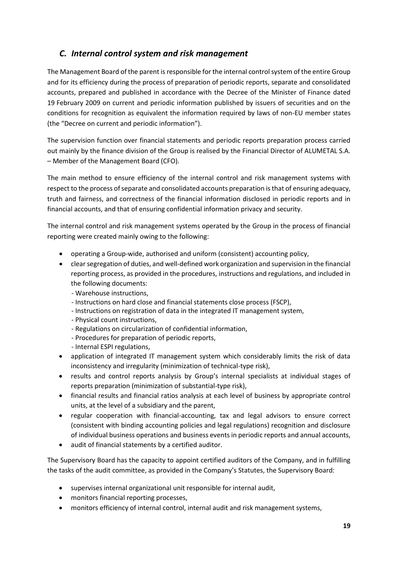#### *C. Internal control system and risk management*

The Management Board of the parent is responsible for the internal control system of the entire Group and for its efficiency during the process of preparation of periodic reports, separate and consolidated accounts, prepared and published in accordance with the Decree of the Minister of Finance dated 19 February 2009 on current and periodic information published by issuers of securities and on the conditions for recognition as equivalent the information required by laws of non-EU member states (the "Decree on current and periodic information").

The supervision function over financial statements and periodic reports preparation process carried out mainly by the finance division of the Group is realised by the Financial Director of ALUMETAL S.A. – Member of the Management Board (CFO).

The main method to ensure efficiency of the internal control and risk management systems with respect to the process of separate and consolidated accounts preparation is that of ensuring adequacy, truth and fairness, and correctness of the financial information disclosed in periodic reports and in financial accounts, and that of ensuring confidential information privacy and security.

The internal control and risk management systems operated by the Group in the process of financial reporting were created mainly owing to the following:

- operating a Group-wide, authorised and uniform (consistent) accounting policy,
- clear segregation of duties, and well-defined work organization and supervision in the financial reporting process, as provided in the procedures, instructions and regulations, and included in the following documents:
	- Warehouse instructions,
	- Instructions on hard close and financial statements close process (FSCP),
	- Instructions on registration of data in the integrated IT management system,
	- Physical count instructions,
	- Regulations on circularization of confidential information,
	- Procedures for preparation of periodic reports,
	- Internal ESPI regulations,
- application of integrated IT management system which considerably limits the risk of data inconsistency and irregularity (minimization of technical-type risk),
- results and control reports analysis by Group's internal specialists at individual stages of reports preparation (minimization of substantial-type risk),
- financial results and financial ratios analysis at each level of business by appropriate control units, at the level of a subsidiary and the parent,
- regular cooperation with financial-accounting, tax and legal advisors to ensure correct (consistent with binding accounting policies and legal regulations) recognition and disclosure of individual business operations and business events in periodic reports and annual accounts,
- audit of financial statements by a certified auditor.

The Supervisory Board has the capacity to appoint certified auditors of the Company, and in fulfilling the tasks of the audit committee, as provided in the Company's Statutes, the Supervisory Board:

- supervises internal organizational unit responsible for internal audit,
- monitors financial reporting processes,
- monitors efficiency of internal control, internal audit and risk management systems,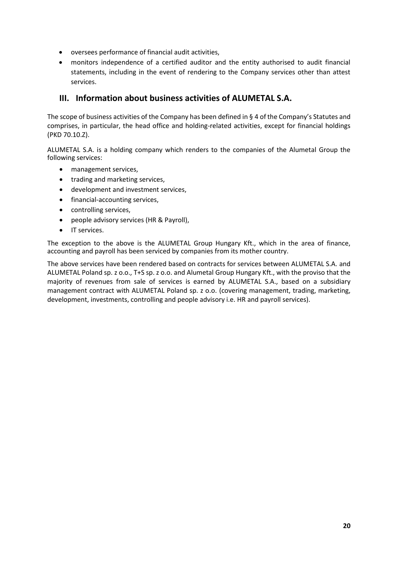- oversees performance of financial audit activities,
- monitors independence of a certified auditor and the entity authorised to audit financial statements, including in the event of rendering to the Company services other than attest services.

#### <span id="page-19-0"></span>**III. Information about business activities of ALUMETAL S.A.**

The scope of business activities of the Company has been defined in § 4 of the Company's Statutes and comprises, in particular, the head office and holding-related activities, except for financial holdings (PKD 70.10.Z).

ALUMETAL S.A. is a holding company which renders to the companies of the Alumetal Group the following services:

- management services,
- trading and marketing services,
- development and investment services,
- financial-accounting services,
- controlling services,
- people advisory services (HR & Payroll),
- IT services.

The exception to the above is the ALUMETAL Group Hungary Kft., which in the area of finance, accounting and payroll has been serviced by companies from its mother country.

The above services have been rendered based on contracts for services between ALUMETAL S.A. and ALUMETAL Poland sp. z o.o., T+S sp. z o.o. and Alumetal Group Hungary Kft., with the proviso that the majority of revenues from sale of services is earned by ALUMETAL S.A., based on a subsidiary management contract with ALUMETAL Poland sp. z o.o. (covering management, trading, marketing, development, investments, controlling and people advisory i.e. HR and payroll services).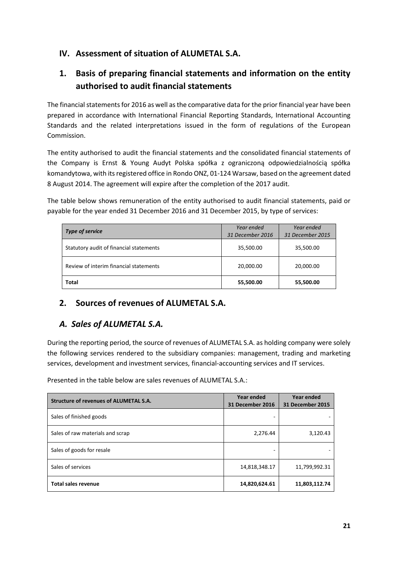#### <span id="page-20-0"></span>**IV. Assessment of situation of ALUMETAL S.A.**

# <span id="page-20-1"></span>**1. Basis of preparing financial statements and information on the entity authorised to audit financial statements**

The financial statements for 2016 as well as the comparative data for the prior financial year have been prepared in accordance with International Financial Reporting Standards, International Accounting Standards and the related interpretations issued in the form of regulations of the European Commission.

The entity authorised to audit the financial statements and the consolidated financial statements of the Company is Ernst & Young Audyt Polska spółka z ograniczoną odpowiedzialnością spółka komandytowa, with its registered office in Rondo ONZ, 01-124 Warsaw, based on the agreement dated 8 August 2014. The agreement will expire after the completion of the 2017 audit.

The table below shows remuneration of the entity authorised to audit financial statements, paid or payable for the year ended 31 December 2016 and 31 December 2015, by type of services:

| <b>Type of service</b>                  | Year ended<br>31 December 2016 | Year ended<br>31 December 2015 |
|-----------------------------------------|--------------------------------|--------------------------------|
| Statutory audit of financial statements | 35,500.00                      | 35,500.00                      |
| Review of interim financial statements  | 20,000.00                      | 20,000.00                      |
| <b>Total</b>                            | 55,500.00                      | 55,500.00                      |

#### <span id="page-20-2"></span>**2. Sources of revenues of ALUMETAL S.A.**

#### *A. Sales of ALUMETAL S.A.*

During the reporting period, the source of revenues of ALUMETAL S.A. as holding company were solely the following services rendered to the subsidiary companies: management, trading and marketing services, development and investment services, financial-accounting services and IT services.

Presented in the table below are sales revenues of ALUMETAL S.A.:

| <b>Structure of revenues of ALUMETAL S.A.</b> | Year ended<br>31 December 2016 | Year ended<br>31 December 2015 |  |
|-----------------------------------------------|--------------------------------|--------------------------------|--|
| Sales of finished goods                       |                                |                                |  |
| Sales of raw materials and scrap              | 2,276.44                       | 3,120.43                       |  |
| Sales of goods for resale                     |                                |                                |  |
| Sales of services                             | 14,818,348.17                  | 11,799,992.31                  |  |
| <b>Total sales revenue</b>                    | 14,820,624.61                  | 11,803,112.74                  |  |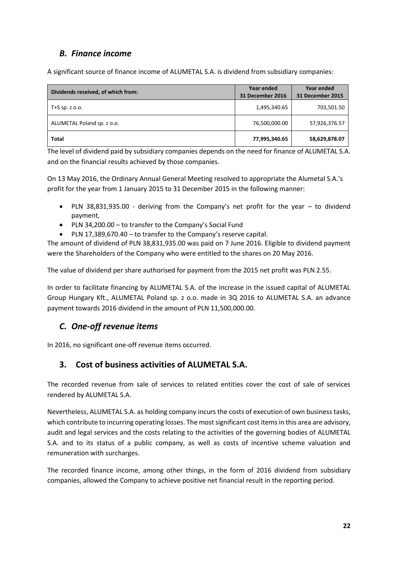#### *B. Finance income*

A significant source of finance income of ALUMETAL S.A. is dividend from subsidiary companies:

| Dividends received, of which from: | Year ended<br>31 December 2016 | Year ended<br>31 December 2015 |
|------------------------------------|--------------------------------|--------------------------------|
| T+S sp. z $0.0$ .                  | 1,495,340.65                   | 703,501.50                     |
| ALUMETAL Poland sp. z o.o.         | 76,500,000.00                  | 57,926,376.57                  |
| Total                              | 77,995,340.65                  | 58,629,878.07                  |

The level of dividend paid by subsidiary companies depends on the need for finance of ALUMETAL S.A. and on the financial results achieved by those companies.

On 13 May 2016, the Ordinary Annual General Meeting resolved to appropriate the Alumetal S.A.'s profit for the year from 1 January 2015 to 31 December 2015 in the following manner:

- PLN 38,831,935.00 deriving from the Company's net profit for the year to dividend payment,
- PLN 34,200.00 to transfer to the Company's Social Fund
- PLN 17,389,670.40 to transfer to the Company's reserve capital.

The amount of dividend of PLN 38,831,935.00 was paid on 7 June 2016. Eligible to dividend payment were the Shareholders of the Company who were entitled to the shares on 20 May 2016.

The value of dividend per share authorised for payment from the 2015 net profit was PLN 2.55.

In order to facilitate financing by ALUMETAL S.A. of the increase in the issued capital of ALUMETAL Group Hungary Kft., ALUMETAL Poland sp. z o.o. made in 3Q 2016 to ALUMETAL S.A. an advance payment towards 2016 dividend in the amount of PLN 11,500,000.00.

#### *C. One-off revenue items*

In 2016, no significant one-off revenue items occurred.

#### <span id="page-21-0"></span>**3. Cost of business activities of ALUMETAL S.A.**

The recorded revenue from sale of services to related entities cover the cost of sale of services rendered by ALUMETAL S.A.

Nevertheless, ALUMETAL S.A. as holding company incurs the costs of execution of own business tasks, which contribute to incurring operating losses. The most significant cost items in this area are advisory, audit and legal services and the costs relating to the activities of the governing bodies of ALUMETAL S.A. and to its status of a public company, as well as costs of incentive scheme valuation and remuneration with surcharges.

The recorded finance income, among other things, in the form of 2016 dividend from subsidiary companies, allowed the Company to achieve positive net financial result in the reporting period.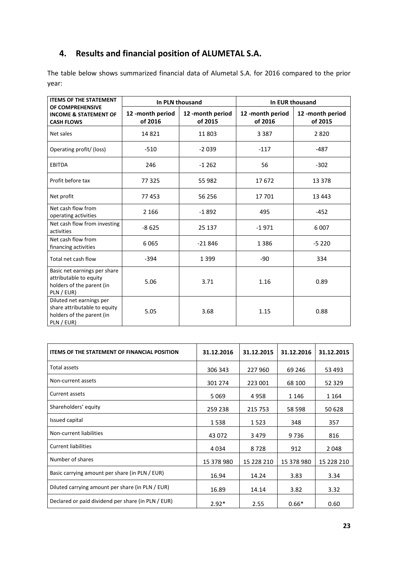# <span id="page-22-0"></span>**4. Results and financial position of ALUMETAL S.A.**

The table below shows summarized financial data of Alumetal S.A. for 2016 compared to the prior year:

| <b>ITEMS OF THE STATEMENT</b>                                                                       | In PLN thousand            |                            |                            | In EUR thousand            |
|-----------------------------------------------------------------------------------------------------|----------------------------|----------------------------|----------------------------|----------------------------|
| OF COMPREHENSIVE<br><b>INCOME &amp; STATEMENT OF</b><br><b>CASH FLOWS</b>                           | 12-month period<br>of 2016 | 12-month period<br>of 2015 | 12-month period<br>of 2016 | 12-month period<br>of 2015 |
| Net sales                                                                                           | 14821                      | 11 803                     | 3 3 8 7                    | 2820                       |
| Operating profit/ (loss)                                                                            | $-510$                     | $-2039$                    | $-117$                     | $-487$                     |
| <b>EBITDA</b>                                                                                       | 246                        | $-1262$                    | 56                         | $-302$                     |
| Profit before tax                                                                                   | 77 325                     | 55 982                     | 17672                      | 13 3 78                    |
| Net profit                                                                                          | 77453                      | 56 256                     | 17 701                     | 13 4 43                    |
| Net cash flow from<br>operating activities                                                          | 2 1 6 6                    | $-1892$                    | 495                        | $-452$                     |
| Net cash flow from investing<br>activities                                                          | $-8625$                    | 25 137                     | $-1971$                    | 6007                       |
| Net cash flow from<br>financing activities                                                          | 6065                       | $-21846$                   | 1386                       | $-5220$                    |
| Total net cash flow                                                                                 | $-394$                     | 1 3 9 9                    | $-90$                      | 334                        |
| Basic net earnings per share<br>attributable to equity<br>holders of the parent (in<br>PLN / EUR)   | 5.06                       | 3.71                       | 1.16                       | 0.89                       |
| Diluted net earnings per<br>share attributable to equity<br>holders of the parent (in<br>PLN / EUR) | 5.05                       | 3.68                       | 1.15                       | 0.88                       |

| <b>ITEMS OF THE STATEMENT OF FINANCIAL POSITION</b> | 31.12.2016 | 31.12.2015 | 31.12.2016 | 31.12.2015 |
|-----------------------------------------------------|------------|------------|------------|------------|
| Total assets                                        | 306 343    | 227 960    | 69 24 6    | 53 493     |
| Non-current assets                                  | 301 274    | 223 001    | 68 100     | 52 3 29    |
| Current assets                                      | 5069       | 4958       | 1 1 4 6    | 1 1 6 4    |
| Shareholders' equity                                | 259 238    | 215 753    | 58 598     | 50 628     |
| Issued capital                                      | 1538       | 1523       | 348        | 357        |
| Non-current liabilities                             | 43 0 72    | 3479       | 9736       | 816        |
| <b>Current liabilities</b>                          | 4034       | 8728       | 912        | 2048       |
| Number of shares                                    | 15 378 980 | 15 228 210 | 15 378 980 | 15 228 210 |
| Basic carrying amount per share (in PLN / EUR)      | 16.94      | 14.24      | 3.83       | 3.34       |
| Diluted carrying amount per share (in PLN / EUR)    | 16.89      | 14.14      | 3.82       | 3.32       |
| Declared or paid dividend per share (in PLN / EUR)  | $2.92*$    | 2.55       | $0.66*$    | 0.60       |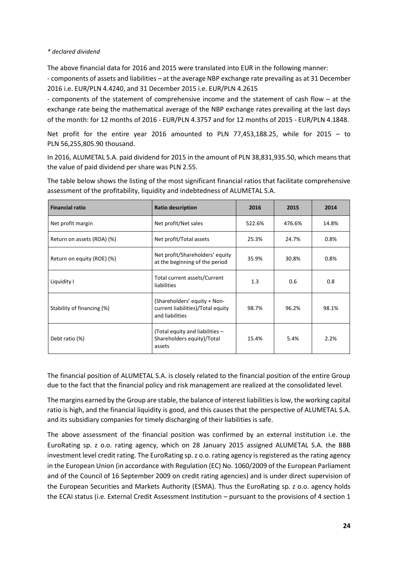#### *\* declared dividend*

The above financial data for 2016 and 2015 were translated into EUR in the following manner:

- components of assets and liabilities – at the average NBP exchange rate prevailing as at 31 December 2016 i.e. EUR/PLN 4.4240, and 31 December 2015 i.e. EUR/PLN 4.2615

- components of the statement of comprehensive income and the statement of cash flow – at the exchange rate being the mathematical average of the NBP exchange rates prevailing at the last days of the month: for 12 months of 2016 - EUR/PLN 4.3757 and for 12 months of 2015 - EUR/PLN 4.1848.

Net profit for the entire year 2016 amounted to PLN 77,453,188.25, while for 2015 – to PLN 56,255,805.90 thousand.

In 2016, ALUMETAL S.A. paid dividend for 2015 in the amount of PLN 38,831,935.50, which means that the value of paid dividend per share was PLN 2.55.

| The table below shows the listing of the most significant financial ratios that facilitate comprehensive |  |  |
|----------------------------------------------------------------------------------------------------------|--|--|
| assessment of the profitability, liquidity and indebtedness of ALUMETAL S.A.                             |  |  |
|                                                                                                          |  |  |

| <b>Financial ratio</b>     | <b>Ratio description</b>                                                             | 2016   | 2015   | 2014  |
|----------------------------|--------------------------------------------------------------------------------------|--------|--------|-------|
| Net profit margin          | Net profit/Net sales                                                                 | 522.6% | 476.6% | 14.8% |
| Return on assets (ROA) (%) | Net profit/Total assets                                                              | 25.3%  | 24.7%  | 0.8%  |
| Return on equity (ROE) (%) | Net profit/Shareholders' equity<br>at the beginning of the period                    | 35.9%  | 30.8%  | 0.8%  |
| Liquidity I                | Total current assets/Current<br>liabilities                                          | 1.3    | 0.6    | 0.8   |
| Stability of financing (%) | (Shareholders' equity + Non-<br>current liabilities)/Total equity<br>and liabilities | 98.7%  | 96.2%  | 98.1% |
| Debt ratio (%)             | (Total equity and liabilities -<br>Shareholders equity)/Total<br>assets              | 15.4%  | 5.4%   | 2.2%  |

The financial position of ALUMETAL S.A. is closely related to the financial position of the entire Group due to the fact that the financial policy and risk management are realized at the consolidated level.

The margins earned by the Group are stable, the balance of interest liabilities is low, the working capital ratio is high, and the financial liquidity is good, and this causes that the perspective of ALUMETAL S.A. and its subsidiary companies for timely discharging of their liabilities is safe.

The above assessment of the financial position was confirmed by an external institution i.e. the EuroRating sp. z o.o. rating agency, which on 28 January 2015 assigned ALUMETAL S.A. the BBB investment level credit rating. The EuroRating sp. z o.o. rating agency is registered as the rating agency in the European Union (in accordance with Regulation (EC) No. 1060/2009 of the European Parliament and of the Council of 16 September 2009 on credit rating agencies) and is under direct supervision of the European Securities and Markets Authority (ESMA). Thus the EuroRating sp. z o.o. agency holds the ECAI status (i.e. External Credit Assessment Institution – pursuant to the provisions of 4 section 1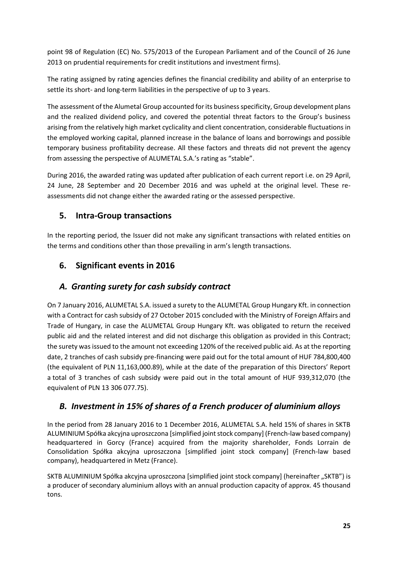point 98 of Regulation (EC) No. 575/2013 of the European Parliament and of the Council of 26 June 2013 on prudential requirements for credit institutions and investment firms).

The rating assigned by rating agencies defines the financial credibility and ability of an enterprise to settle its short- and long-term liabilities in the perspective of up to 3 years.

The assessment of the Alumetal Group accounted for its business specificity, Group development plans and the realized dividend policy, and covered the potential threat factors to the Group's business arising from the relatively high market cyclicality and client concentration, considerable fluctuations in the employed working capital, planned increase in the balance of loans and borrowings and possible temporary business profitability decrease. All these factors and threats did not prevent the agency from assessing the perspective of ALUMETAL S.A.'s rating as "stable".

During 2016, the awarded rating was updated after publication of each current report i.e. on 29 April, 24 June, 28 September and 20 December 2016 and was upheld at the original level. These reassessments did not change either the awarded rating or the assessed perspective.

#### <span id="page-24-0"></span>**5. Intra-Group transactions**

In the reporting period, the Issuer did not make any significant transactions with related entities on the terms and conditions other than those prevailing in arm's length transactions.

#### <span id="page-24-1"></span>**6. Significant events in 2016**

#### *A. Granting surety for cash subsidy contract*

On 7 January 2016, ALUMETAL S.A. issued a surety to the ALUMETAL Group Hungary Kft. in connection with a Contract for cash subsidy of 27 October 2015 concluded with the Ministry of Foreign Affairs and Trade of Hungary, in case the ALUMETAL Group Hungary Kft. was obligated to return the received public aid and the related interest and did not discharge this obligation as provided in this Contract; the surety was issued to the amount not exceeding 120% of the received public aid. As at the reporting date, 2 tranches of cash subsidy pre-financing were paid out for the total amount of HUF 784,800,400 (the equivalent of PLN 11,163,000.89), while at the date of the preparation of this Directors' Report a total of 3 tranches of cash subsidy were paid out in the total amount of HUF 939,312,070 (the equivalent of PLN 13 306 077.75).

## *B. Investment in 15% of shares of a French producer of aluminium alloys*

In the period from 28 January 2016 to 1 December 2016, ALUMETAL S.A. held 15% of shares in SKTB ALUMINIUM Spółka akcyjna uproszczona [simplified joint stock company] (French-law based company) headquartered in Gorcy (France) acquired from the majority shareholder, Fonds Lorrain de Consolidation Spółka akcyjna uproszczona [simplified joint stock company] (French-law based company), headquartered in Metz (France).

SKTB ALUMINIUM Spółka akcyjna uproszczona [simplified joint stock company] (hereinafter "SKTB") is a producer of secondary aluminium alloys with an annual production capacity of approx. 45 thousand tons.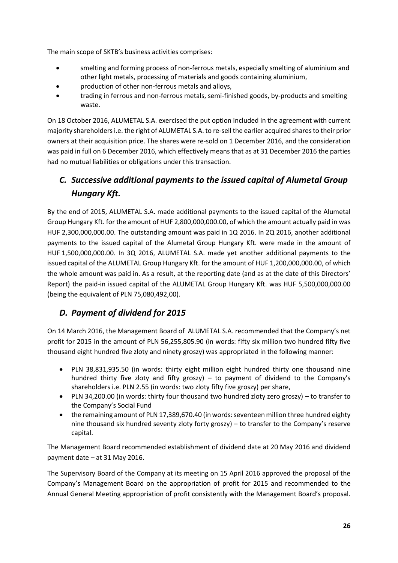The main scope of SKTB's business activities comprises:

- smelting and forming process of non-ferrous metals, especially smelting of aluminium and other light metals, processing of materials and goods containing aluminium,
- production of other non-ferrous metals and alloys,
- trading in ferrous and non-ferrous metals, semi-finished goods, by-products and smelting waste.

On 18 October 2016, ALUMETAL S.A. exercised the put option included in the agreement with current majority shareholders i.e. the right of ALUMETAL S.A. to re-sell the earlier acquired shares to their prior owners at their acquisition price. The shares were re-sold on 1 December 2016, and the consideration was paid in full on 6 December 2016, which effectively means that as at 31 December 2016 the parties had no mutual liabilities or obligations under this transaction.

# *C. Successive additional payments to the issued capital of Alumetal Group Hungary Kft.*

By the end of 2015, ALUMETAL S.A. made additional payments to the issued capital of the Alumetal Group Hungary Kft. for the amount of HUF 2,800,000,000.00, of which the amount actually paid in was HUF 2,300,000,000.00. The outstanding amount was paid in 1Q 2016. In 2Q 2016, another additional payments to the issued capital of the Alumetal Group Hungary Kft. were made in the amount of HUF 1,500,000,000.00. In 3Q 2016, ALUMETAL S.A. made yet another additional payments to the issued capital of the ALUMETAL Group Hungary Kft. for the amount of HUF 1,200,000,000.00, of which the whole amount was paid in. As a result, at the reporting date (and as at the date of this Directors' Report) the paid-in issued capital of the ALUMETAL Group Hungary Kft. was HUF 5,500,000,000.00 (being the equivalent of PLN 75,080,492,00).

## *D. Payment of dividend for 2015*

On 14 March 2016, the Management Board of ALUMETAL S.A. recommended that the Company's net profit for 2015 in the amount of PLN 56,255,805.90 (in words: fifty six million two hundred fifty five thousand eight hundred five zloty and ninety groszy) was appropriated in the following manner:

- PLN 38,831,935.50 (in words: thirty eight million eight hundred thirty one thousand nine hundred thirty five zloty and fifty groszy) – to payment of dividend to the Company's shareholders i.e. PLN 2.55 (in words: two zloty fifty five groszy) per share,
- PLN 34,200.00 (in words: thirty four thousand two hundred zloty zero groszy) to transfer to the Company's Social Fund
- the remaining amount of PLN 17,389,670.40 (in words: seventeen million three hundred eighty nine thousand six hundred seventy zloty forty groszy) – to transfer to the Company's reserve capital.

The Management Board recommended establishment of dividend date at 20 May 2016 and dividend payment date – at 31 May 2016.

The Supervisory Board of the Company at its meeting on 15 April 2016 approved the proposal of the Company's Management Board on the appropriation of profit for 2015 and recommended to the Annual General Meeting appropriation of profit consistently with the Management Board's proposal.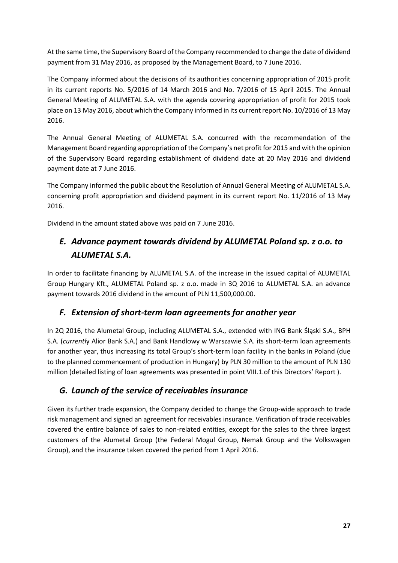At the same time, the Supervisory Board of the Company recommended to change the date of dividend payment from 31 May 2016, as proposed by the Management Board, to 7 June 2016.

The Company informed about the decisions of its authorities concerning appropriation of 2015 profit in its current reports No. 5/2016 of 14 March 2016 and No. 7/2016 of 15 April 2015. The Annual General Meeting of ALUMETAL S.A. with the agenda covering appropriation of profit for 2015 took place on 13 May 2016, about which the Company informed in its current report No. 10/2016 of 13 May 2016.

The Annual General Meeting of ALUMETAL S.A. concurred with the recommendation of the Management Board regarding appropriation of the Company's net profit for 2015 and with the opinion of the Supervisory Board regarding establishment of dividend date at 20 May 2016 and dividend payment date at 7 June 2016.

The Company informed the public about the Resolution of Annual General Meeting of ALUMETAL S.A. concerning profit appropriation and dividend payment in its current report No. 11/2016 of 13 May 2016.

Dividend in the amount stated above was paid on 7 June 2016.

# *E. Advance payment towards dividend by ALUMETAL Poland sp. z o.o. to ALUMETAL S.A.*

In order to facilitate financing by ALUMETAL S.A. of the increase in the issued capital of ALUMETAL Group Hungary Kft., ALUMETAL Poland sp. z o.o. made in 3Q 2016 to ALUMETAL S.A. an advance payment towards 2016 dividend in the amount of PLN 11,500,000.00.

#### *F. Extension of short-term loan agreements for another year*

In 2Q 2016, the Alumetal Group, including ALUMETAL S.A., extended with ING Bank Śląski S.A., BPH S.A. (*currentl*y Alior Bank S.A.) and Bank Handlowy w Warszawie S.A. its short-term loan agreements for another year, thus increasing its total Group's short-term loan facility in the banks in Poland (due to the planned commencement of production in Hungary) by PLN 30 million to the amount of PLN 130 million (detailed listing of loan agreements was presented in point VIII.1.of this Directors' Report ).

#### *G. Launch of the service of receivables insurance*

Given its further trade expansion, the Company decided to change the Group-wide approach to trade risk management and signed an agreement for receivables insurance. Verification of trade receivables covered the entire balance of sales to non-related entities, except for the sales to the three largest customers of the Alumetal Group (the Federal Mogul Group, Nemak Group and the Volkswagen Group), and the insurance taken covered the period from 1 April 2016.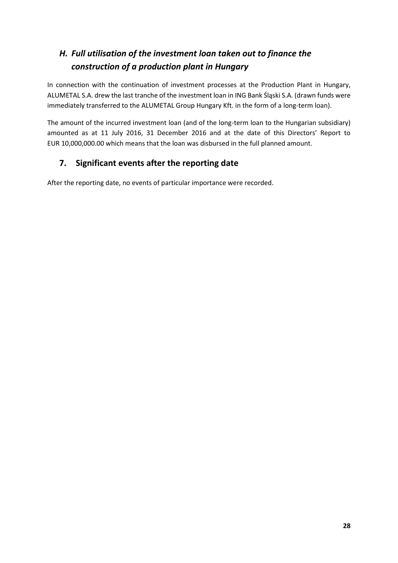# *H. Full utilisation of the investment loan taken out to finance the construction of a production plant in Hungary*

In connection with the continuation of investment processes at the Production Plant in Hungary, ALUMETAL S.A. drew the last tranche of the investment loan in ING Bank Śląski S.A. (drawn funds were immediately transferred to the ALUMETAL Group Hungary Kft. in the form of a long-term loan).

The amount of the incurred investment loan (and of the long-term loan to the Hungarian subsidiary) amounted as at 11 July 2016, 31 December 2016 and at the date of this Directors' Report to EUR 10,000,000.00 which means that the loan was disbursed in the full planned amount.

## <span id="page-27-0"></span>**7. Significant events after the reporting date**

After the reporting date, no events of particular importance were recorded.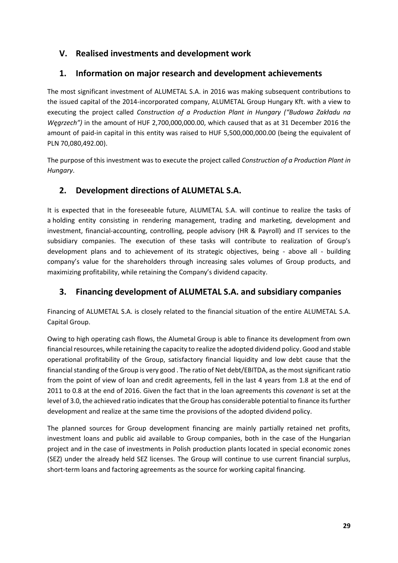#### <span id="page-28-0"></span>**V. Realised investments and development work**

#### <span id="page-28-1"></span>**1. Information on major research and development achievements**

The most significant investment of ALUMETAL S.A. in 2016 was making subsequent contributions to the issued capital of the 2014-incorporated company, ALUMETAL Group Hungary Kft. with a view to executing the project called *Construction of a Production Plant in Hungary ("Budowa Zakładu na Węgrzech")* in the amount of HUF 2,700,000,000.00, which caused that as at 31 December 2016 the amount of paid-in capital in this entity was raised to HUF 5,500,000,000.00 (being the equivalent of PLN 70,080,492.00).

The purpose of this investment was to execute the project called *Construction of a Production Plant in Hungary*.

#### <span id="page-28-2"></span>**2. Development directions of ALUMETAL S.A.**

It is expected that in the foreseeable future, ALUMETAL S.A. will continue to realize the tasks of a holding entity consisting in rendering management, trading and marketing, development and investment, financial-accounting, controlling, people advisory (HR & Payroll) and IT services to the subsidiary companies. The execution of these tasks will contribute to realization of Group's development plans and to achievement of its strategic objectives, being - above all - building company's value for the shareholders through increasing sales volumes of Group products, and maximizing profitability, while retaining the Company's dividend capacity.

#### <span id="page-28-3"></span>**3. Financing development of ALUMETAL S.A. and subsidiary companies**

Financing of ALUMETAL S.A. is closely related to the financial situation of the entire ALUMETAL S.A. Capital Group.

Owing to high operating cash flows, the Alumetal Group is able to finance its development from own financial resources, while retaining the capacity to realize the adopted dividend policy. Good and stable operational profitability of the Group, satisfactory financial liquidity and low debt cause that the financial standing of the Group is very good . The ratio of Net debt/EBITDA, as the most significant ratio from the point of view of loan and credit agreements, fell in the last 4 years from 1.8 at the end of 2011 to 0.8 at the end of 2016. Given the fact that in the loan agreements this *covenant* is set at the level of 3.0, the achieved ratio indicates that the Group has considerable potential to finance its further development and realize at the same time the provisions of the adopted dividend policy.

The planned sources for Group development financing are mainly partially retained net profits, investment loans and public aid available to Group companies, both in the case of the Hungarian project and in the case of investments in Polish production plants located in special economic zones (SEZ) under the already held SEZ licenses. The Group will continue to use current financial surplus, short-term loans and factoring agreements as the source for working capital financing.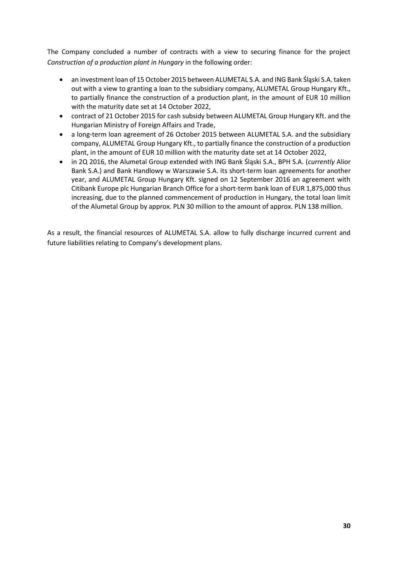The Company concluded a number of contracts with a view to securing finance for the project *Construction of a production plant in Hungary* in the following order:

- an investment loan of 15 October 2015 between ALUMETAL S.A. and ING Bank Śląski S.A. taken out with a view to granting a loan to the subsidiary company, ALUMETAL Group Hungary Kft., to partially finance the construction of a production plant, in the amount of EUR 10 million with the maturity date set at 14 October 2022,
- contract of 21 October 2015 for cash subsidy between ALUMETAL Group Hungary Kft. and the Hungarian Ministry of Foreign Affairs and Trade,
- a long-term loan agreement of 26 October 2015 between ALUMETAL S.A. and the subsidiary company, ALUMETAL Group Hungary Kft., to partially finance the construction of a production plant, in the amount of EUR 10 million with the maturity date set at 14 October 2022,
- in 2Q 2016, the Alumetal Group extended with ING Bank Śląski S.A., BPH S.A. (*currently* Alior Bank S.A.) and Bank Handlowy w Warszawie S.A. its short-term loan agreements for another year, and ALUMETAL Group Hungary Kft. signed on 12 September 2016 an agreement with Citibank Europe plc Hungarian Branch Office for a short-term bank loan of EUR 1,875,000 thus increasing, due to the planned commencement of production in Hungary, the total loan limit of the Alumetal Group by approx. PLN 30 million to the amount of approx. PLN 138 million.

As a result, the financial resources of ALUMETAL S.A. allow to fully discharge incurred current and future liabilities relating to Company's development plans.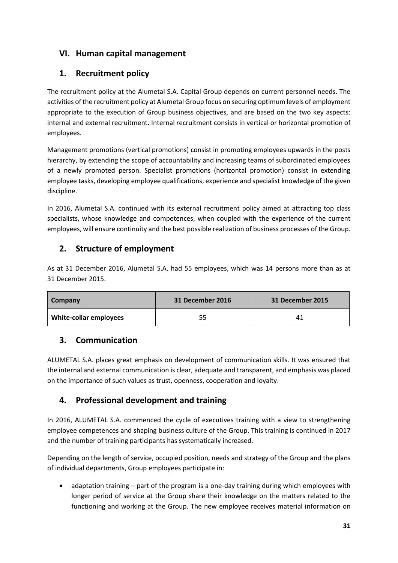#### <span id="page-30-0"></span>**VI. Human capital management**

#### <span id="page-30-1"></span>**1. Recruitment policy**

The recruitment policy at the Alumetal S.A. Capital Group depends on current personnel needs. The activities of the recruitment policy at Alumetal Group focus on securing optimum levels of employment appropriate to the execution of Group business objectives, and are based on the two key aspects: internal and external recruitment. Internal recruitment consists in vertical or horizontal promotion of employees.

Management promotions (vertical promotions) consist in promoting employees upwards in the posts hierarchy, by extending the scope of accountability and increasing teams of subordinated employees of a newly promoted person. Specialist promotions (horizontal promotion) consist in extending employee tasks, developing employee qualifications, experience and specialist knowledge of the given discipline.

In 2016, Alumetal S.A. continued with its external recruitment policy aimed at attracting top class specialists, whose knowledge and competences, when coupled with the experience of the current employees, will ensure continuity and the best possible realization of business processes of the Group.

#### <span id="page-30-2"></span>**2. Structure of employment**

As at 31 December 2016, Alumetal S.A. had 55 employees, which was 14 persons more than as at 31 December 2015.

| Company                       | 31 December 2016 | 31 December 2015 |
|-------------------------------|------------------|------------------|
| <b>White-collar employees</b> | 55               | 41               |

#### <span id="page-30-3"></span>**3. Communication**

ALUMETAL S.A. places great emphasis on development of communication skills. It was ensured that the internal and external communication is clear, adequate and transparent, and emphasis was placed on the importance of such values as trust, openness, cooperation and loyalty.

## <span id="page-30-4"></span>**4. Professional development and training**

In 2016, ALUMETAL S.A. commenced the cycle of executives training with a view to strengthening employee competences and shaping business culture of the Group. This training is continued in 2017 and the number of training participants has systematically increased.

Depending on the length of service, occupied position, needs and strategy of the Group and the plans of individual departments, Group employees participate in:

• adaptation training – part of the program is a one-day training during which employees with longer period of service at the Group share their knowledge on the matters related to the functioning and working at the Group. The new employee receives material information on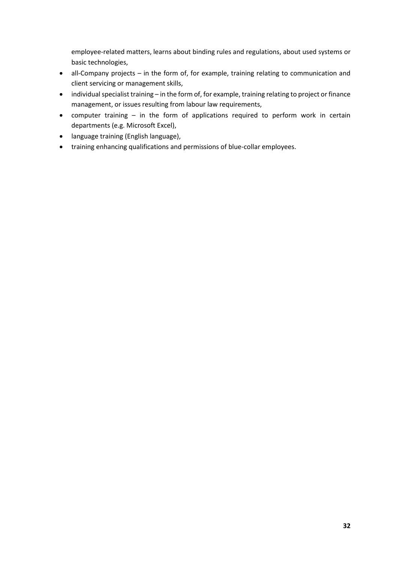employee-related matters, learns about binding rules and regulations, about used systems or basic technologies,

- all-Company projects in the form of, for example, training relating to communication and client servicing or management skills,
- individual specialist training in the form of, for example, training relating to project or finance management, or issues resulting from labour law requirements,
- computer training in the form of applications required to perform work in certain departments (e.g. Microsoft Excel),
- language training (English language),
- training enhancing qualifications and permissions of blue-collar employees.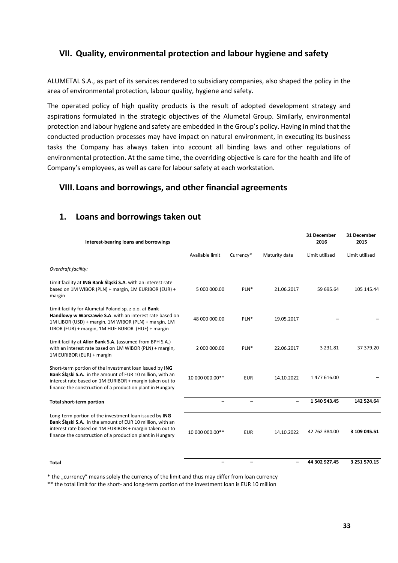#### <span id="page-32-0"></span>**VII. Quality, environmental protection and labour hygiene and safety**

ALUMETAL S.A., as part of its services rendered to subsidiary companies, also shaped the policy in the area of environmental protection, labour quality, hygiene and safety.

The operated policy of high quality products is the result of adopted development strategy and aspirations formulated in the strategic objectives of the Alumetal Group. Similarly, environmental protection and labour hygiene and safety are embedded in the Group's policy. Having in mind that the conducted production processes may have impact on natural environment, in executing its business tasks the Company has always taken into account all binding laws and other regulations of environmental protection. At the same time, the overriding objective is care for the health and life of Company's employees, as well as care for labour safety at each workstation.

#### <span id="page-32-1"></span>**VIII. Loans and borrowings, and other financial agreements**

#### <span id="page-32-2"></span>**1. Loans and borrowings taken out**

| Interest-bearing loans and borrowings                                                                                                                                                                                                        |                          |            |                          | 31 December<br>2016 | 31 December<br>2015 |
|----------------------------------------------------------------------------------------------------------------------------------------------------------------------------------------------------------------------------------------------|--------------------------|------------|--------------------------|---------------------|---------------------|
|                                                                                                                                                                                                                                              | Available limit          | Currency*  | Maturity date            | Limit utilised      | Limit utilised      |
| Overdraft facility:                                                                                                                                                                                                                          |                          |            |                          |                     |                     |
| Limit facility at ING Bank Slaski S.A. with an interest rate<br>based on 1M WIBOR (PLN) + margin, 1M EURIBOR (EUR) +<br>margin                                                                                                               | 5 000 000.00             | PLN*       | 21.06.2017               | 59 695.64           | 105 145.44          |
| Limit facility for Alumetal Poland sp. z o.o. at Bank<br>Handlowy w Warszawie S.A. with an interest rate based on<br>1M LIBOR (USD) + margin, 1M WIBOR (PLN) + margin, 1M<br>LIBOR (EUR) + margin, 1M HUF BUBOR (HUF) + margin               | 48 000 000.00            | PLN*       | 19.05.2017               |                     |                     |
| Limit facility at Alior Bank S.A. (assumed from BPH S.A.)<br>with an interest rate based on 1M WIBOR (PLN) + margin,<br>1M EURIBOR (EUR) + margin                                                                                            | 2 000 000.00             | PLN*       | 22.06.2017               | 3 2 3 1 . 8 1       | 37 379.20           |
| Short-term portion of the investment loan issued by ING<br>Bank Śląski S.A. in the amount of EUR 10 million, with an<br>interest rate based on 1M EURIBOR + margin taken out to<br>finance the construction of a production plant in Hungary | 10 000 000.00**          | <b>EUR</b> | 14.10.2022               | 1 477 616.00        |                     |
| <b>Total short-term portion</b>                                                                                                                                                                                                              |                          |            | -                        | 1 540 543.45        | 142 524.64          |
| Long-term portion of the investment loan issued by ING<br>Bank Śląski S.A. in the amount of EUR 10 million, with an<br>interest rate based on 1M EURIBOR + margin taken out to<br>finance the construction of a production plant in Hungary  | 10 000 000.00**          | <b>EUR</b> | 14.10.2022               | 42 762 384.00       | 3 109 045.51        |
| Total                                                                                                                                                                                                                                        | $\overline{\phantom{0}}$ |            | $\overline{\phantom{0}}$ | 44 302 927.45       | 3 251 570.15        |

\* the "currency" means solely the currency of the limit and thus may differ from loan currency

\*\* the total limit for the short- and long-term portion of the investment loan is EUR 10 million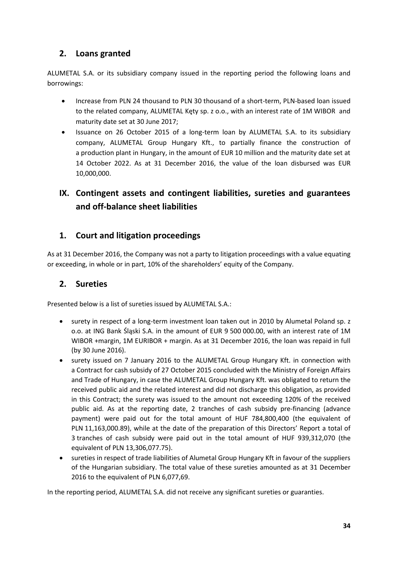#### <span id="page-33-0"></span>**2. Loans granted**

ALUMETAL S.A. or its subsidiary company issued in the reporting period the following loans and borrowings:

- Increase from PLN 24 thousand to PLN 30 thousand of a short-term, PLN-based loan issued to the related company, ALUMETAL Kęty sp. z o.o., with an interest rate of 1M WIBOR and maturity date set at 30 June 2017;
- Issuance on 26 October 2015 of a long-term loan by ALUMETAL S.A. to its subsidiary company, ALUMETAL Group Hungary Kft., to partially finance the construction of a production plant in Hungary, in the amount of EUR 10 million and the maturity date set at 14 October 2022. As at 31 December 2016, the value of the loan disbursed was EUR 10,000,000.

# <span id="page-33-1"></span>**IX. Contingent assets and contingent liabilities, sureties and guarantees and off-balance sheet liabilities**

#### <span id="page-33-2"></span>**1. Court and litigation proceedings**

As at 31 December 2016, the Company was not a party to litigation proceedings with a value equating or exceeding, in whole or in part, 10% of the shareholders' equity of the Company.

#### <span id="page-33-3"></span>**2. Sureties**

Presented below is a list of sureties issued by ALUMETAL S.A.:

- surety in respect of a long-term investment loan taken out in 2010 by Alumetal Poland sp. z o.o. at ING Bank Śląski S.A. in the amount of EUR 9 500 000.00, with an interest rate of 1M WIBOR +margin, 1M EURIBOR + margin. As at 31 December 2016, the loan was repaid in full (by 30 June 2016).
- surety issued on 7 January 2016 to the ALUMETAL Group Hungary Kft. in connection with a Contract for cash subsidy of 27 October 2015 concluded with the Ministry of Foreign Affairs and Trade of Hungary, in case the ALUMETAL Group Hungary Kft. was obligated to return the received public aid and the related interest and did not discharge this obligation, as provided in this Contract; the surety was issued to the amount not exceeding 120% of the received public aid. As at the reporting date, 2 tranches of cash subsidy pre-financing (advance payment) were paid out for the total amount of HUF 784,800,400 (the equivalent of PLN 11,163,000.89), while at the date of the preparation of this Directors' Report a total of 3 tranches of cash subsidy were paid out in the total amount of HUF 939,312,070 (the equivalent of PLN 13,306,077.75).
- sureties in respect of trade liabilities of Alumetal Group Hungary Kft in favour of the suppliers of the Hungarian subsidiary. The total value of these sureties amounted as at 31 December 2016 to the equivalent of PLN 6,077,69.

In the reporting period, ALUMETAL S.A. did not receive any significant sureties or guaranties.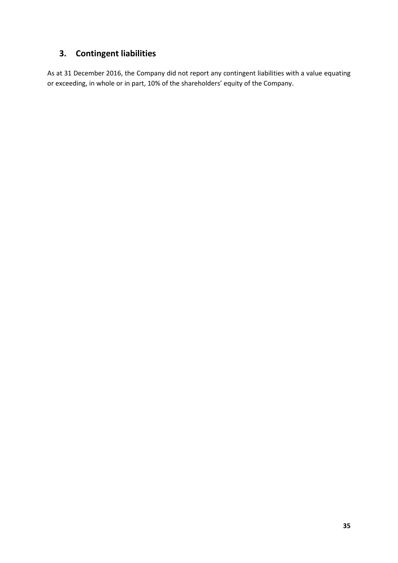# <span id="page-34-0"></span>**3. Contingent liabilities**

As at 31 December 2016, the Company did not report any contingent liabilities with a value equating or exceeding, in whole or in part, 10% of the shareholders' equity of the Company.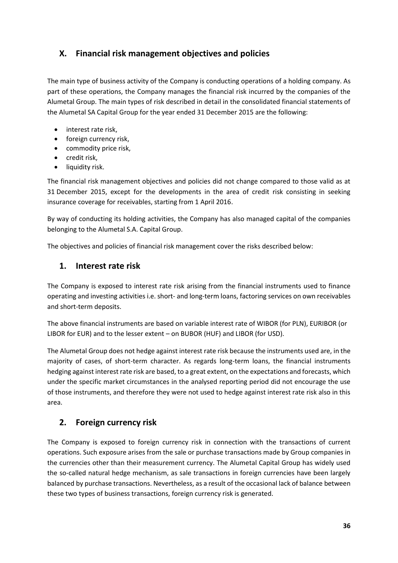#### <span id="page-35-0"></span>**X. Financial risk management objectives and policies**

The main type of business activity of the Company is conducting operations of a holding company. As part of these operations, the Company manages the financial risk incurred by the companies of the Alumetal Group. The main types of risk described in detail in the consolidated financial statements of the Alumetal SA Capital Group for the year ended 31 December 2015 are the following:

- interest rate risk,
- foreign currency risk,
- commodity price risk,
- credit risk,
- liquidity risk.

The financial risk management objectives and policies did not change compared to those valid as at 31 December 2015, except for the developments in the area of credit risk consisting in seeking insurance coverage for receivables, starting from 1 April 2016.

By way of conducting its holding activities, the Company has also managed capital of the companies belonging to the Alumetal S.A. Capital Group.

The objectives and policies of financial risk management cover the risks described below:

#### <span id="page-35-1"></span>**1. Interest rate risk**

The Company is exposed to interest rate risk arising from the financial instruments used to finance operating and investing activities i.e. short- and long-term loans, factoring services on own receivables and short-term deposits.

The above financial instruments are based on variable interest rate of WIBOR (for PLN), EURIBOR (or LIBOR for EUR) and to the lesser extent – on BUBOR (HUF) and LIBOR (for USD).

The Alumetal Group does not hedge against interest rate risk because the instruments used are, in the majority of cases, of short-term character. As regards long-term loans, the financial instruments hedging against interest rate risk are based, to a great extent, on the expectations and forecasts, which under the specific market circumstances in the analysed reporting period did not encourage the use of those instruments, and therefore they were not used to hedge against interest rate risk also in this area.

#### <span id="page-35-2"></span>**2. Foreign currency risk**

The Company is exposed to foreign currency risk in connection with the transactions of current operations. Such exposure arises from the sale or purchase transactions made by Group companies in the currencies other than their measurement currency. The Alumetal Capital Group has widely used the so-called natural hedge mechanism, as sale transactions in foreign currencies have been largely balanced by purchase transactions. Nevertheless, as a result of the occasional lack of balance between these two types of business transactions, foreign currency risk is generated.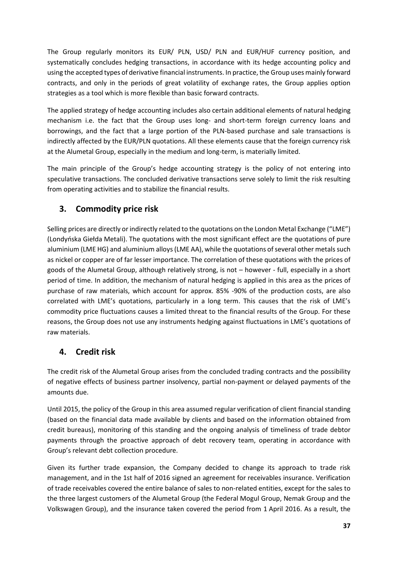The Group regularly monitors its EUR/ PLN, USD/ PLN and EUR/HUF currency position, and systematically concludes hedging transactions, in accordance with its hedge accounting policy and using the accepted types of derivative financial instruments. In practice, the Group uses mainly forward contracts, and only in the periods of great volatility of exchange rates, the Group applies option strategies as a tool which is more flexible than basic forward contracts.

The applied strategy of hedge accounting includes also certain additional elements of natural hedging mechanism i.e. the fact that the Group uses long- and short-term foreign currency loans and borrowings, and the fact that a large portion of the PLN-based purchase and sale transactions is indirectly affected by the EUR/PLN quotations. All these elements cause that the foreign currency risk at the Alumetal Group, especially in the medium and long-term, is materially limited.

The main principle of the Group's hedge accounting strategy is the policy of not entering into speculative transactions. The concluded derivative transactions serve solely to limit the risk resulting from operating activities and to stabilize the financial results.

## <span id="page-36-0"></span>**3. Commodity price risk**

Selling prices are directly or indirectly related to the quotations on the London Metal Exchange ("LME") (Londyńska Giełda Metali). The quotations with the most significant effect are the quotations of pure aluminium (LME HG) and aluminium alloys (LME AA), while the quotations of several other metals such as nickel or copper are of far lesser importance. The correlation of these quotations with the prices of goods of the Alumetal Group, although relatively strong, is not – however - full, especially in a short period of time. In addition, the mechanism of natural hedging is applied in this area as the prices of purchase of raw materials, which account for approx. 85% -90% of the production costs, are also correlated with LME's quotations, particularly in a long term. This causes that the risk of LME's commodity price fluctuations causes a limited threat to the financial results of the Group. For these reasons, the Group does not use any instruments hedging against fluctuations in LME's quotations of raw materials.

## <span id="page-36-1"></span>**4. Credit risk**

The credit risk of the Alumetal Group arises from the concluded trading contracts and the possibility of negative effects of business partner insolvency, partial non-payment or delayed payments of the amounts due.

Until 2015, the policy of the Group in this area assumed regular verification of client financial standing (based on the financial data made available by clients and based on the information obtained from credit bureaus), monitoring of this standing and the ongoing analysis of timeliness of trade debtor payments through the proactive approach of debt recovery team, operating in accordance with Group's relevant debt collection procedure.

Given its further trade expansion, the Company decided to change its approach to trade risk management, and in the 1st half of 2016 signed an agreement for receivables insurance. Verification of trade receivables covered the entire balance of sales to non-related entities, except for the sales to the three largest customers of the Alumetal Group (the Federal Mogul Group, Nemak Group and the Volkswagen Group), and the insurance taken covered the period from 1 April 2016. As a result, the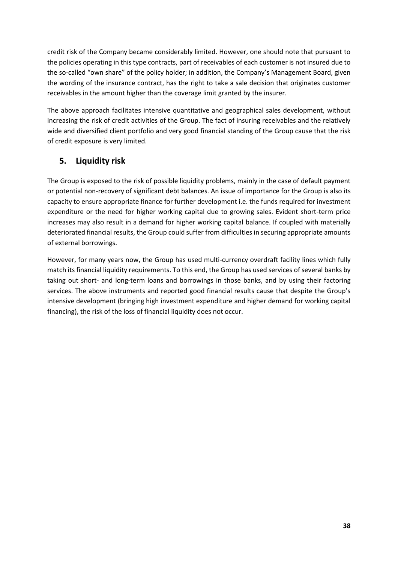credit risk of the Company became considerably limited. However, one should note that pursuant to the policies operating in this type contracts, part of receivables of each customer is not insured due to the so-called "own share" of the policy holder; in addition, the Company's Management Board, given the wording of the insurance contract, has the right to take a sale decision that originates customer receivables in the amount higher than the coverage limit granted by the insurer.

The above approach facilitates intensive quantitative and geographical sales development, without increasing the risk of credit activities of the Group. The fact of insuring receivables and the relatively wide and diversified client portfolio and very good financial standing of the Group cause that the risk of credit exposure is very limited.

## <span id="page-37-0"></span>**5. Liquidity risk**

The Group is exposed to the risk of possible liquidity problems, mainly in the case of default payment or potential non-recovery of significant debt balances. An issue of importance for the Group is also its capacity to ensure appropriate finance for further development i.e. the funds required for investment expenditure or the need for higher working capital due to growing sales. Evident short-term price increases may also result in a demand for higher working capital balance. If coupled with materially deteriorated financial results, the Group could suffer from difficulties in securing appropriate amounts of external borrowings.

However, for many years now, the Group has used multi-currency overdraft facility lines which fully match its financial liquidity requirements. To this end, the Group has used services of several banks by taking out short- and long-term loans and borrowings in those banks, and by using their factoring services. The above instruments and reported good financial results cause that despite the Group's intensive development (bringing high investment expenditure and higher demand for working capital financing), the risk of the loss of financial liquidity does not occur.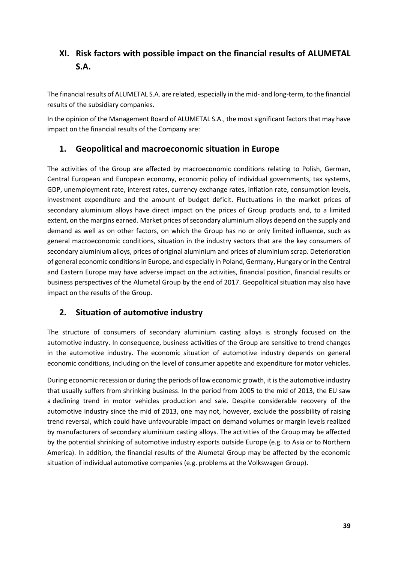# <span id="page-38-0"></span>**XI. Risk factors with possible impact on the financial results of ALUMETAL S.A.**

The financial results of ALUMETAL S.A. are related, especially in the mid- and long-term, to the financial results of the subsidiary companies.

In the opinion of the Management Board of ALUMETAL S.A., the most significant factors that may have impact on the financial results of the Company are:

#### <span id="page-38-1"></span>**1. Geopolitical and macroeconomic situation in Europe**

The activities of the Group are affected by macroeconomic conditions relating to Polish, German, Central European and European economy, economic policy of individual governments, tax systems, GDP, unemployment rate, interest rates, currency exchange rates, inflation rate, consumption levels, investment expenditure and the amount of budget deficit. Fluctuations in the market prices of secondary aluminium alloys have direct impact on the prices of Group products and, to a limited extent, on the margins earned. Market prices of secondary aluminium alloys depend on the supply and demand as well as on other factors, on which the Group has no or only limited influence, such as general macroeconomic conditions, situation in the industry sectors that are the key consumers of secondary aluminium alloys, prices of original aluminium and prices of aluminium scrap. Deterioration of general economic conditions in Europe, and especially in Poland, Germany, Hungary or in the Central and Eastern Europe may have adverse impact on the activities, financial position, financial results or business perspectives of the Alumetal Group by the end of 2017. Geopolitical situation may also have impact on the results of the Group.

#### <span id="page-38-2"></span>**2. Situation of automotive industry**

The structure of consumers of secondary aluminium casting alloys is strongly focused on the automotive industry. In consequence, business activities of the Group are sensitive to trend changes in the automotive industry. The economic situation of automotive industry depends on general economic conditions, including on the level of consumer appetite and expenditure for motor vehicles.

During economic recession or during the periods of low economic growth, it is the automotive industry that usually suffers from shrinking business. In the period from 2005 to the mid of 2013, the EU saw a declining trend in motor vehicles production and sale. Despite considerable recovery of the automotive industry since the mid of 2013, one may not, however, exclude the possibility of raising trend reversal, which could have unfavourable impact on demand volumes or margin levels realized by manufacturers of secondary aluminium casting alloys. The activities of the Group may be affected by the potential shrinking of automotive industry exports outside Europe (e.g. to Asia or to Northern America). In addition, the financial results of the Alumetal Group may be affected by the economic situation of individual automotive companies (e.g. problems at the Volkswagen Group).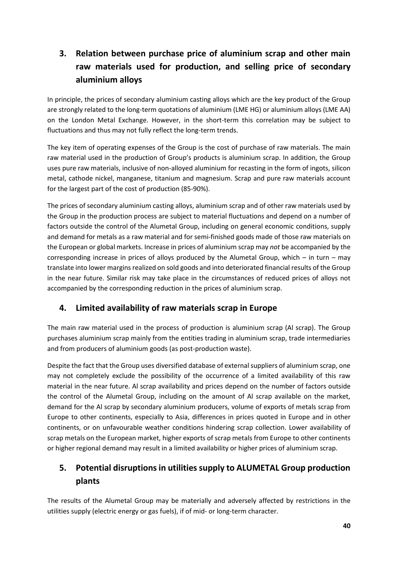# <span id="page-39-0"></span>**3. Relation between purchase price of aluminium scrap and other main raw materials used for production, and selling price of secondary aluminium alloys**

In principle, the prices of secondary aluminium casting alloys which are the key product of the Group are strongly related to the long-term quotations of aluminium (LME HG) or aluminium alloys (LME AA) on the London Metal Exchange. However, in the short-term this correlation may be subject to fluctuations and thus may not fully reflect the long-term trends.

The key item of operating expenses of the Group is the cost of purchase of raw materials. The main raw material used in the production of Group's products is aluminium scrap. In addition, the Group uses pure raw materials, inclusive of non-alloyed aluminium for recasting in the form of ingots, silicon metal, cathode nickel, manganese, titanium and magnesium. Scrap and pure raw materials account for the largest part of the cost of production (85-90%).

The prices of secondary aluminium casting alloys, aluminium scrap and of other raw materials used by the Group in the production process are subject to material fluctuations and depend on a number of factors outside the control of the Alumetal Group, including on general economic conditions, supply and demand for metals as a raw material and for semi-finished goods made of those raw materials on the European or global markets. Increase in prices of aluminium scrap may *not* be accompanied by the corresponding increase in prices of alloys produced by the Alumetal Group, which – in turn – may translate into lower margins realized on sold goods and into deteriorated financial results of the Group in the near future. Similar risk may take place in the circumstances of reduced prices of alloys not accompanied by the corresponding reduction in the prices of aluminium scrap.

## <span id="page-39-1"></span>**4. Limited availability of raw materials scrap in Europe**

The main raw material used in the process of production is aluminium scrap (Al scrap). The Group purchases aluminium scrap mainly from the entities trading in aluminium scrap, trade intermediaries and from producers of aluminium goods (as post-production waste).

Despite the fact that the Group uses diversified database of external suppliers of aluminium scrap, one may not completely exclude the possibility of the occurrence of a limited availability of this raw material in the near future. Al scrap availability and prices depend on the number of factors outside the control of the Alumetal Group, including on the amount of Al scrap available on the market, demand for the Al scrap by secondary aluminium producers, volume of exports of metals scrap from Europe to other continents, especially to Asia, differences in prices quoted in Europe and in other continents, or on unfavourable weather conditions hindering scrap collection. Lower availability of scrap metals on the European market, higher exports of scrap metals from Europe to other continents or higher regional demand may result in a limited availability or higher prices of aluminium scrap.

# <span id="page-39-2"></span>**5. Potential disruptions in utilities supply to ALUMETAL Group production plants**

The results of the Alumetal Group may be materially and adversely affected by restrictions in the utilities supply (electric energy or gas fuels), if of mid- or long-term character.